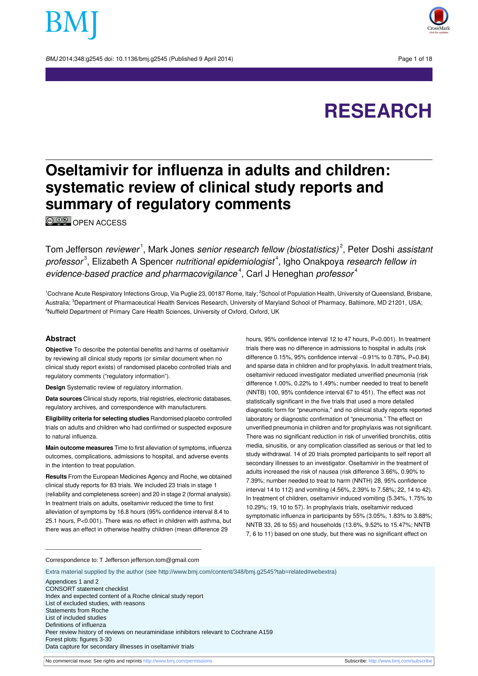BMJ 2014:348:g2545 doi: 10.1136/bmi.g2545 (Published 9 April 2014) Page 1 of 18



# **RESEARCH**

# **Oseltamivir for influenza in adults and children: systematic review of clinical study reports and summary of regulatory comments**

**C**  $\frac{1}{2}$  OPEN [ACCESS](http://creativecommons.org/licenses/by-nc/3.0/)

Tom Jefferson *reviewer* <sup>1</sup>, Mark Jones *senior research fellow (biostatistics)*  $^2$ , Peter Doshi *assistant professor*<sup>3</sup>, Elizabeth A Spencer *nutritional epidemiologist<sup>4</sup>,* Igho Onakpoya *research fellow in* evidence-based practice and pharmacovigilance<sup>4</sup>, Carl J Heneghan professor<sup>4</sup>

<sup>1</sup>Cochrane Acute Respiratory Infections Group, Via Puglie 23, 00187 Rome, Italy; <sup>2</sup>School of Population Health, University of Queensland, Brisbane, Australia; <sup>3</sup>Department of Pharmaceutical Health Services Research, University of Maryland School of Pharmacy, Baltimore, MD 21201, USA; <sup>4</sup>Nuffield Department of Primary Care Health Sciences, University of Oxford, Oxford, UK

#### **Abstract**

**Objective** To describe the potential benefits and harms of oseltamivir by reviewing all clinical study reports (or similar document when no clinical study report exists) of randomised placebo controlled trials and regulatory comments ("regulatory information").

**Design** Systematic review of regulatory information.

**Data sources** Clinical study reports, trial registries, electronic databases, regulatory archives, and correspondence with manufacturers.

**Eligibility criteria for selecting studies** Randomised placebo controlled trials on adults and children who had confirmed or suspected exposure to natural influenza.

**Main outcome measures** Time to first alleviation of symptoms, influenza outcomes, complications, admissions to hospital, and adverse events in the intention to treat population.

**Results** From the European Medicines Agency and Roche, we obtained clinical study reports for 83 trials. We included 23 trials in stage 1 (reliability and completeness screen) and 20 in stage 2 (formal analysis). In treatment trials on adults, oseltamivir reduced the time to first alleviation of symptoms by 16.8 hours (95% confidence interval 8.4 to 25.1 hours, P<0.001). There was no effect in children with asthma, but there was an effect in otherwise healthy children (mean difference 29

hours, 95% confidence interval 12 to 47 hours, P=0.001). In treatment trials there was no difference in admissions to hospital in adults (risk difference 0.15%, 95% confidence interval −0.91% to 0.78%, P=0.84) and sparse data in children and for prophylaxis. In adult treatment trials, oseltamivir reduced investigator mediated unverified pneumonia (risk difference 1.00%, 0.22% to 1.49%; number needed to treat to benefit (NNTB) 100, 95% confidence interval 67 to 451). The effect was not statistically significant in the five trials that used a more detailed diagnostic form for "pneumonia," and no clinical study reports reported laboratory or diagnostic confirmation of "pneumonia." The effect on unverified pneumonia in children and for prophylaxis was not significant. There was no significant reduction in risk of unverified bronchitis, otitis media, sinusitis, or any complication classified as serious or that led to study withdrawal. 14 of 20 trials prompted participants to self report all secondary illnesses to an investigator. Oseltamivir in the treatment of adults increased the risk of nausea (risk difference 3.66%, 0.90% to 7.39%; number needed to treat to harm (NNTH) 28, 95% confidence interval 14 to 112) and vomiting (4.56%, 2.39% to 7.58%; 22, 14 to 42). In treatment of children, oseltamivir induced vomiting (5.34%, 1.75% to 10.29%; 19, 10 to 57). In prophylaxis trials, oseltamivir reduced symptomatic influenza in participants by 55% (3.05%, 1.83% to 3.88%; NNTB 33, 26 to 55) and households (13.6%, 9.52% to 15.47%; NNTB 7, 6 to 11) based on one study, but there was no significant effect on

Correspondence to: T Jefferson jefferson.tom@gmail.com

Extra material supplied by the author (see [http://www.bmj.com/content/348/bmj.g2545?tab=related#webextra\)](http://www.bmj.com/content/348/bmj.g2545?tab=related#webextra)

| Appendices 1 and 2                                                                   |  |
|--------------------------------------------------------------------------------------|--|
| <b>CONSORT</b> statement checklist                                                   |  |
| Index and expected content of a Roche clinical study report                          |  |
| List of excluded studies, with reasons                                               |  |
| <b>Statements from Roche</b>                                                         |  |
| List of included studies                                                             |  |
| Definitions of influenza                                                             |  |
| Peer review history of reviews on neuraminidase inhibitors relevant to Cochrane A159 |  |
| Forest plots: figures 3-30                                                           |  |
| Data capture for secondary illnesses in oseltamivir trials                           |  |
|                                                                                      |  |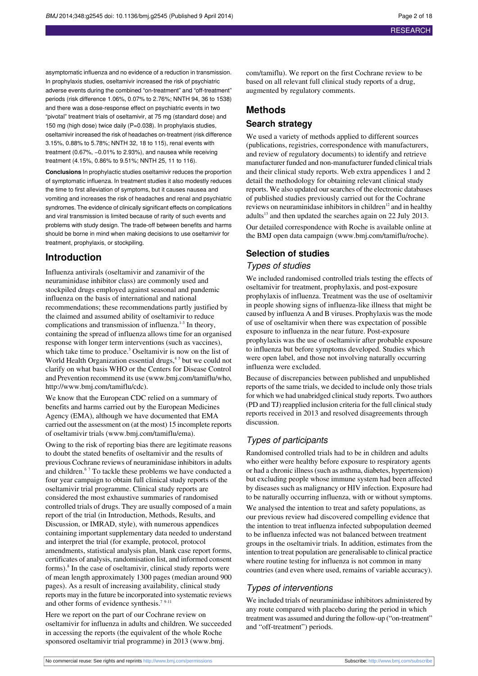asymptomatic influenza and no evidence of a reduction in transmission. In prophylaxis studies, oseltamivir increased the risk of psychiatric adverse events during the combined "on-treatment" and "off-treatment" periods (risk difference 1.06%, 0.07% to 2.76%; NNTH 94, 36 to 1538) and there was a dose-response effect on psychiatric events in two "pivotal" treatment trials of oseltamivir, at 75 mg (standard dose) and 150 mg (high dose) twice daily (P=0.038). In prophylaxis studies, oseltamivir increased the risk of headaches on-treatment (risk difference 3.15%, 0.88% to 5.78%; NNTH 32, 18 to 115), renal events with treatment (0.67%, −0.01% to 2.93%), and nausea while receiving treatment (4.15%, 0.86% to 9.51%; NNTH 25, 11 to 116).

**Conclusions** In prophylactic studies oseltamivir reduces the proportion of symptomatic influenza. In treatment studies it also modestly reduces the time to first alleviation of symptoms, but it causes nausea and vomiting and increases the risk of headaches and renal and psychiatric syndromes. The evidence of clinically significant effects on complications and viral transmission is limited because of rarity of such events and problems with study design. The trade-off between benefits and harms should be borne in mind when making decisions to use oseltamivir for treatment, prophylaxis, or stockpiling.

# **Introduction**

Influenza antivirals (oseltamivir and zanamivir of the neuraminidase inhibitor class) are commonly used and stockpiled drugs employed against seasonal and pandemic influenza on the basis of international and national recommendations; these recommendations partly justified by the claimed and assumed ability of oseltamivir to reduce complications and transmission of influenza. $1-3$  In theory, containing the spread of influenza allows time for an organised response with longer term interventions (such as vaccines), which take time to produce.<sup>3</sup> Oseltamivir is now on the list of World Health Organization essential drugs,<sup>45</sup> but we could not clarify on what basis WHO or the Centers for Disease Control and Prevention recommend its use ([www.bmj.com/tamiflu/who](http://www.bmj.com/tamiflu/who), <http://www.bmj.com/tamiflu/cdc>).

We know that the European CDC relied on a summary of benefits and harms carried out by the European Medicines Agency (EMA), although we have documented that EMA carried out the assessment on (at the most) 15 incomplete reports of oseltamivir trials ([www.bmj.com/tamiflu/ema\)](http://www.bmj.com/tamiflu/ema).

Owing to the risk of reporting bias there are legitimate reasons to doubt the stated benefits of oseltamivir and the results of previous Cochrane reviews of neuraminidase inhibitors in adults and children.<sup>67</sup> To tackle these problems we have conducted a four year campaign to obtain full clinical study reports of the oseltamivir trial programme. Clinical study reports are considered the most exhaustive summaries of randomised controlled trials of drugs. They are usually composed of a main report of the trial (in Introduction, Methods, Results, and Discussion, or IMRAD, style), with numerous appendices containing important supplementary data needed to understand and interpret the trial (for example, protocol, protocol amendments, statistical analysis plan, blank case report forms, certificates of analysis, randomisation list, and informed consent forms).<sup>8</sup> In the case of oseltamivir, clinical study reports were of mean length approximately 1300 pages (median around 900 pages). As a result of increasing availability, clinical study reports may in the future be incorporated into systematic reviews and other forms of evidence synthesis.<sup>7 9-11</sup>

Here we report on the part of our Cochrane review on oseltamivir for influenza in adults and children. We succeeded in accessing the reports (the equivalent of the whole Roche sponsored oseltamivir trial programme) in 2013 [\(www.bmj.](http://www.bmj.com/tamiflu)

[com/tamiflu](http://www.bmj.com/tamiflu)). We report on the first Cochrane review to be based on all relevant full clinical study reports of a drug, augmented by regulatory comments.

# **Methods**

# **Search strategy**

We used a variety of methods applied to different sources (publications, registries, correspondence with manufacturers, and review of regulatory documents) to identify and retrieve manufacturer funded and non-manufacturer funded clinical trials and their clinical study reports. Web extra appendices 1 and 2 detail the methodology for obtaining relevant clinical study reports. We also updated our searches of the electronic databases of published studies previously carried out for the Cochrane reviews on neuraminidase inhibitors in children<sup>12</sup> and in healthy adults<sup>13</sup> and then updated the searches again on 22 July 2013. Our detailed correspondence with Roche is available online at the BMJ open data campaign [\(www.bmj.com/tamiflu/roche](http://www.bmj.com/tamiflu/roche)).

### **Selection of studies**

### Types of studies

We included randomised controlled trials testing the effects of oseltamivir for treatment, prophylaxis, and post-exposure prophylaxis of influenza. Treatment was the use of oseltamivir in people showing signs of influenza-like illness that might be caused by influenza A and B viruses. Prophylaxis wasthe mode of use of oseltamivir when there was expectation of possible exposure to influenza in the near future. Post-exposure prophylaxis was the use of oseltamivir after probable exposure to influenza but before symptoms developed. Studies which were open label, and those not involving naturally occurring influenza were excluded.

Because of discrepancies between published and unpublished reports of the same trials, we decided to include only those trials for which we had unabridged clinical study reports. Two authors (PD and TJ) reapplied inclusion criteria for the full clinical study reports received in 2013 and resolved disagreements through discussion.

# Types of participants

Randomised controlled trials had to be in children and adults who either were healthy before exposure to respiratory agents or had a chronic illness(such as asthma, diabetes, hypertension) but excluding people whose immune system had been affected by diseases such as malignancy or HIV infection. Exposure had to be naturally occurring influenza, with or without symptoms.

We analysed the intention to treat and safety populations, as our previous review had discovered compelling evidence that the intention to treat influenza infected subpopulation deemed to be influenza infected was not balanced between treatment groups in the oseltamivir trials. In addition, estimates from the intention to treat population are generalisable to clinical practice where routine testing for influenza is not common in many countries (and even where used, remains of variable accuracy).

### Types of interventions

We included trials of neuraminidase inhibitors administered by any route compared with placebo during the period in which treatment was assumed and during the follow-up ("on-treatment" and "off-treatment") periods.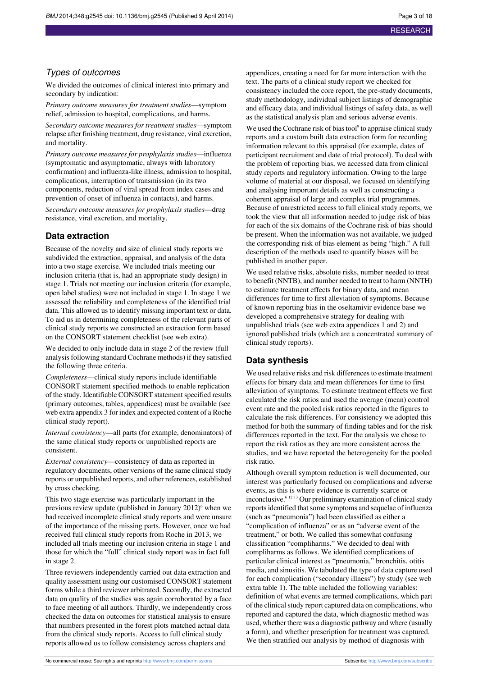# Types of outcomes

We divided the outcomes of clinical interest into primary and secondary by indication:

*Primary outcome measures for treatment studies*—symptom relief, admission to hospital, complications, and harms.

*Secondary outcome measures for treatment studies*—symptom relapse after finishing treatment, drug resistance, viral excretion, and mortality.

*Primary outcome measures for prophylaxis studies*—influenza (symptomatic and asymptomatic, always with laboratory confirmation) and influenza-like illness, admission to hospital, complications, interruption of transmission (in its two components, reduction of viral spread from index cases and prevention of onset of influenza in contacts), and harms.

*Secondary outcome measures for prophylaxis studies*—drug resistance, viral excretion, and mortality.

#### **Data extraction**

Because of the novelty and size of clinical study reports we subdivided the extraction, appraisal, and analysis of the data into a two stage exercise. We included trials meeting our inclusion criteria (that is, had an appropriate study design) in stage 1. Trials not meeting our inclusion criteria (for example, open label studies) were not included in stage 1. In stage 1 we assessed the reliability and completeness of the identified trial data. This allowed us to identify missing important text or data. To aid us in determining completeness of the relevant parts of clinical study reports we constructed an extraction form based on the CONSORT statement checklist (see web extra).

We decided to only include data in stage 2 of the review (full analysisfollowing standard Cochrane methods) if they satisfied the following three criteria.

*Completeness*—clinical study reports include identifiable CONSORT statement specified methods to enable replication of the study. Identifiable CONSORT statement specified results (primary outcomes, tables, appendices) must be available (see web extra appendix 3 for index and expected content of a Roche clinical study report).

*Internal consistency*—all parts (for example, denominators) of the same clinical study reports or unpublished reports are consistent.

*External consistency*—consistency of data as reported in regulatory documents, other versions of the same clinical study reports or unpublished reports, and other references, established by cross checking.

This two stage exercise was particularly important in the previous review update (published in January  $2012$ )<sup>6</sup> when we had received incomplete clinical study reports and were unsure of the importance of the missing parts. However, once we had received full clinical study reports from Roche in 2013, we included all trials meeting our inclusion criteria in stage 1 and those for which the "full" clinical study report was in fact full in stage 2.

Three reviewers independently carried out data extraction and quality assessment using our customised CONSORT statement forms while a third reviewer arbitrated. Secondly, the extracted data on quality of the studies was again corroborated by a face to face meeting of all authors. Thirdly, we independently cross checked the data on outcomes for statistical analysis to ensure that numbers presented in the forest plots matched actual data from the clinical study reports. Access to full clinical study reports allowed us to follow consistency across chapters and

appendices, creating a need for far more interaction with the text. The parts of a clinical study report we checked for consistency included the core report, the pre-study documents, study methodology, individual subject listings of demographic and efficacy data, and individual listings of safety data, as well as the statistical analysis plan and serious adverse events.

We used the Cochrane risk of bias tool<sup>9</sup> to appraise clinical study reports and a custom built data extraction form for recording information relevant to this appraisal (for example, dates of participant recruitment and date of trial protocol). To deal with the problem of reporting bias, we accessed data from clinical study reports and regulatory information. Owing to the large volume of material at our disposal, we focused on identifying and analysing important details as well as constructing a coherent appraisal of large and complex trial programmes. Because of unrestricted access to full clinical study reports, we took the view that all information needed to judge risk of bias for each of the six domains of the Cochrane risk of bias should be present. When the information was not available, we judged the corresponding risk of bias element as being "high." A full description of the methods used to quantify biases will be published in another paper.

We used relative risks, absolute risks, number needed to treat to benefit (NNTB), and number needed to treat to harm (NNTH) to estimate treatment effects for binary data, and mean differences for time to first alleviation of symptoms. Because of known reporting bias in the oseltamivir evidence base we developed a comprehensive strategy for dealing with unpublished trials (see web extra appendices 1 and 2) and ignored published trials (which are a concentrated summary of clinical study reports).

#### **Data synthesis**

We used relative risks and risk differences to estimate treatment effects for binary data and mean differences for time to first alleviation of symptoms. To estimate treatment effects we first calculated the risk ratios and used the average (mean) control event rate and the pooled risk ratios reported in the figures to calculate the risk differences. For consistency we adopted this method for both the summary of finding tables and for the risk differences reported in the text. For the analysis we chose to report the risk ratios as they are more consistent across the studies, and we have reported the heterogeneity for the pooled risk ratio.

Although overall symptom reduction is well documented, our interest was particularly focused on complications and adverse events, as this is where evidence is currently scarce or inconclusive.<sup>6 12 13</sup> Our preliminary examination of clinical study reports identified that some symptoms and sequelae of influenza (such as "pneumonia") had been classified as either a "complication of influenza" or as an "adverse event of the treatment," or both. We called this somewhat confusing classification "compliharms." We decided to deal with compliharms as follows. We identified complications of particular clinical interest as "pneumonia," bronchitis, otitis media, and sinusitis. We tabulated the type of data capture used for each complication ("secondary illness") by study (see web extra table 1). The table included the following variables: definition of what events are termed complications, which part of the clinical study report captured data on complications, who reported and captured the data, which diagnostic method was used, whether there was a diagnostic pathway and where (usually a form), and whether prescription for treatment was captured. We then stratified our analysis by method of diagnosis with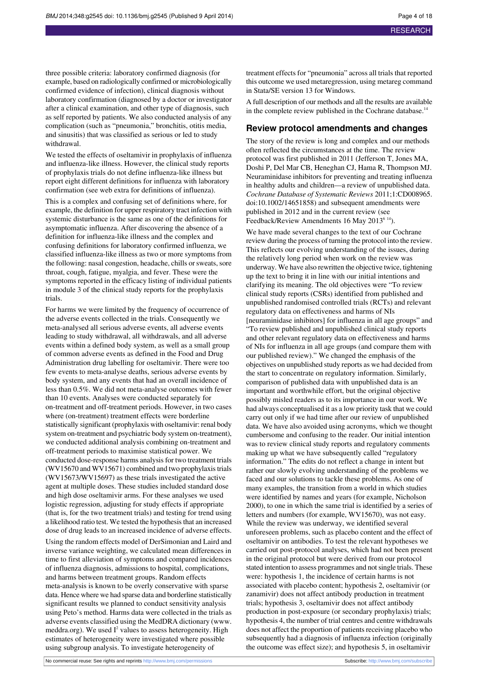three possible criteria: laboratory confirmed diagnosis (for example, based on radiologically confirmed or microbiologically confirmed evidence of infection), clinical diagnosis without laboratory confirmation (diagnosed by a doctor or investigator after a clinical examination, and other type of diagnosis, such as self reported by patients. We also conducted analysis of any complication (such as "pneumonia," bronchitis, otitis media, and sinusitis) that was classified as serious or led to study withdrawal.

We tested the effects of oseltamivir in prophylaxis of influenza and influenza-like illness. However, the clinical study reports of prophylaxis trials do not define influenza-like illness but report eight different definitions for influenza with laboratory confirmation (see web extra for definitions of influenza).

This is a complex and confusing set of definitions where, for example, the definition for upper respiratory tract infection with systemic disturbance is the same as one of the definitions for asymptomatic influenza. After discovering the absence of a definition for influenza-like illness and the complex and confusing definitions for laboratory confirmed influenza, we classified influenza-like illness as two or more symptoms from the following: nasal congestion, headache, chills or sweats, sore throat, cough, fatigue, myalgia, and fever. These were the symptoms reported in the efficacy listing of individual patients in module 3 of the clinical study reports for the prophylaxis trials.

For harms we were limited by the frequency of occurrence of the adverse events collected in the trials. Consequently we meta-analysed all serious adverse events, all adverse events leading to study withdrawal, all withdrawals, and all adverse events within a defined body system, as well as a small group of common adverse events as defined in the Food and Drug Administration drug labelling for oseltamivir. There were too few events to meta-analyse deaths, serious adverse events by body system, and any events that had an overall incidence of less than 0.5%. We did not meta-analyse outcomes with fewer than 10 events. Analyses were conducted separately for on-treatment and off-treatment periods. However, in two cases where (on-treatment) treatment effects were borderline statistically significant (prophylaxis with oseltamivir: renal body system on-treatment and psychiatric body system on-treatment), we conducted additional analysis combining on-treatment and off-treatment periods to maximise statistical power. We conducted dose-response harms analysis for two treatment trials  $(WV15670$  and  $WV15671)$  combined and two prophylaxis trials (WV15673/WV15697) as these trials investigated the active agent at multiple doses. These studies included standard dose and high dose oseltamivir arms. For these analyses we used logistic regression, adjusting for study effects if appropriate (that is, for the two treatment trials) and testing for trend using a likelihood ratio test. We tested the hypothesis that an increased dose of drug leads to an increased incidence of adverse effects. Using the random effects model of DerSimonian and Laird and inverse variance weighting, we calculated mean differences in time to first alleviation of symptoms and compared incidences of influenza diagnosis, admissions to hospital, complications, and harms between treatment groups. Random effects meta-analysis is known to be overly conservative with sparse data. Hence where we had sparse data and borderline statistically significant results we planned to conduct sensitivity analysis using Peto's method. Harms data were collected in the trials as adverse events classified using the MedDRA dictionary [\(www.](http://www.meddra.org/) [meddra.org](http://www.meddra.org/)). We used  $I^2$  values to assess heterogeneity. High estimates of heterogeneity were investigated where possible using subgroup analysis. To investigate heterogeneity of

treatment effects for "pneumonia" across all trials that reported this outcome we used metaregression, using metareg command in Stata/SE version 13 for Windows.

A full description of our methods and all the results are available in the complete review published in the Cochrane database.<sup>14</sup>

#### **Review protocol amendments and changes**

The story of the review is long and complex and our methods often reflected the circumstances at the time. The review protocol was first published in 2011 (Jefferson T, Jones MA, Doshi P, Del Mar CB, Heneghan CJ, Hama R, Thompson MJ. Neuraminidase inhibitors for preventing and treating influenza in healthy adults and children—a review of unpublished data. *Cochrane Database of Systematic Reviews* 2011;1:CD008965. doi[:10.1002/14651858](http://dx.doi.org/10.1002/14651858)) and subsequent amendments were published in 2012 and in the current review (see Feedback/Review Amendments 16 May 2013<sup>6 14</sup>).

We have made several changes to the text of our Cochrane review during the process of turning the protocol into the review. This reflects our evolving understanding of the issues, during the relatively long period when work on the review was underway. We have also rewritten the objective twice, tightening up the text to bring it in line with our initial intentions and clarifying its meaning. The old objectives were "To review clinical study reports (CSRs) identified from published and unpublished randomised controlled trials (RCTs) and relevant regulatory data on effectiveness and harms of NIs [neuraminidase inhibitors] for influenza in all age groups" and "To review published and unpublished clinical study reports and other relevant regulatory data on effectiveness and harms of NIs for influenza in all age groups (and compare them with our published review)." We changed the emphasis of the objectives on unpublished study reports as we had decided from the start to concentrate on regulatory information. Similarly, comparison of published data with unpublished data is an important and worthwhile effort, but the original objective possibly misled readers as to its importance in our work. We had always conceptualised it as a low priority task that we could carry out only if we had time after our review of unpublished data. We have also avoided using acronyms, which we thought cumbersome and confusing to the reader. Our initial intention was to review clinical study reports and regulatory comments making up what we have subsequently called "regulatory information." The edits do not reflect a change in intent but rather our slowly evolving understanding of the problems we faced and our solutions to tackle these problems. As one of many examples, the transition from a world in which studies were identified by names and years (for example, Nicholson 2000), to one in which the same trial is identified by a series of letters and numbers (for example, WV15670), was not easy. While the review was underway, we identified several unforeseen problems, such as placebo content and the effect of oseltamivir on antibodies. To test the relevant hypotheses we carried out post-protocol analyses, which had not been present in the original protocol but were derived from our protocol stated intention to assess programmes and notsingle trials. These were: hypothesis 1, the incidence of certain harms is not associated with placebo content; hypothesis 2, oseltamivir (or zanamivir) does not affect antibody production in treatment trials; hypothesis 3, oseltamivir does not affect antibody production in post-exposure (or secondary prophylaxis) trials; hypothesis 4, the number of trial centres and centre withdrawals does not affect the proportion of patients receiving placebo who subsequently had a diagnosis of influenza infection (originally the outcome was effect size); and hypothesis 5, in oseltamivir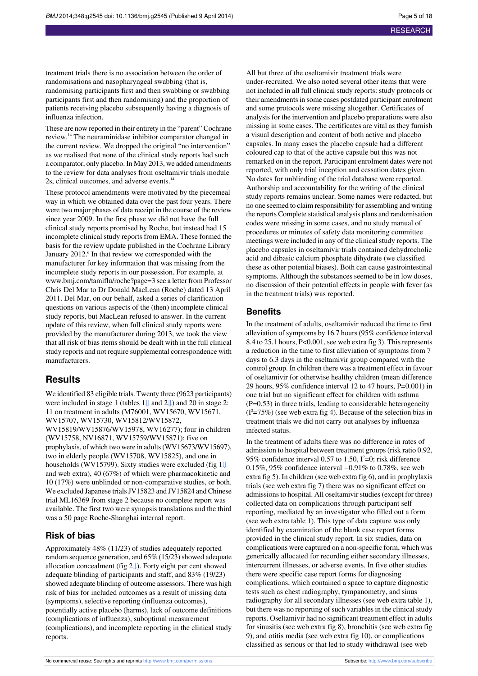treatment trials there is no association between the order of randomisations and nasopharyngeal swabbing (that is, randomising participants first and then swabbing or swabbing participants first and then randomising) and the proportion of patients receiving placebo subsequently having a diagnosis of influenza infection.

These are now reported in their entirety in the "parent" Cochrane review.<sup>14</sup> The neuraminidase inhibitor comparator changed in the current review. We dropped the original "no intervention" as we realised that none of the clinical study reports had such a comparator, only placebo. In May 2013, we added amendments to the review for data analyses from oseltamivir trials module 2s, clinical outcomes, and adverse events.<sup>14</sup>

These protocol amendments were motivated by the piecemeal way in which we obtained data over the past four years. There were two major phases of data receipt in the course of the review since year 2009. In the first phase we did not have the full clinical study reports promised by Roche, but instead had 15 incomplete clinical study reports from EMA. These formed the basis for the review update published in the Cochrane Library January 2012.<sup>6</sup> In that review we corresponded with the manufacturer for key information that was missing from the incomplete study reports in our possession. For example, at [www.bmj.com/tamiflu/roche?page=3](http://www.bmj.com/tamiflu/roche?page=3) see a letter from Professor Chris Del Mar to Dr Donald MacLean (Roche) dated 13 April 2011. Del Mar, on our behalf, asked a series of clarification questions on various aspects of the (then) incomplete clinical study reports, but MacLean refused to answer. In the current update of this review, when full clinical study reports were provided by the manufacturer during 2013, we took the view that all risk of bias items should be dealt with in the full clinical study reports and not require supplemental correspondence with manufacturers.

# **Results**

We identified 83 eligible trials. Twenty three (9623 participants) were included in stage 1 (tables [1⇓](#page-10-0) and [2⇓](#page-12-0)) and 20 in stage 2: 11 on treatment in adults (M76001, WV15670, WV15671, WV15707, WV15730, WV15812/WV15872, WV15819/WV15876/WV15978, WV16277); four in children (WV15758, NV16871, WV15759/WV15871); five on prophylaxis, of which two were in adults(WV15673/WV15697), two in elderly people (WV15708, WV15825), and one in households (WV15799). Sixty studies were excluded (fig [1⇓](#page-16-0) and web extra), 40 (67%) of which were pharmacokinetic and 10 (17%) were unblinded or non-comparative studies, or both. We excluded Japanese trials JV15823 and JV15824 and Chinese trial ML16369 from stage 2 because no complete report was available. The first two were synopsis translations and the third was a 50 page Roche-Shanghai internal report.

#### **Risk of bias**

Approximately 48% (11/23) of studies adequately reported random sequence generation, and  $65\%$  (15/23) showed adequate allocation concealment (fig [2⇓](#page-17-0)). Forty eight per cent showed adequate blinding of participants and staff, and 83% (19/23) showed adequate blinding of outcome assessors. There was high risk of bias for included outcomes as a result of missing data (symptoms), selective reporting (influenza outcomes), potentially active placebo (harms), lack of outcome definitions (complications of influenza), suboptimal measurement (complications), and incomplete reporting in the clinical study reports.

All but three of the oseltamivir treatment trials were under-recruited. We also noted several other items that were not included in all full clinical study reports: study protocols or their amendments in some cases postdated participant enrolment and some protocols were missing altogether. Certificates of analysis for the intervention and placebo preparations were also missing in some cases. The certificates are vital as they furnish a visual description and content of both active and placebo capsules. In many cases the placebo capsule had a different coloured cap to that of the active capsule but this was not remarked on in the report. Participant enrolment dates were not reported, with only trial inception and cessation dates given. No dates for unblinding of the trial database were reported. Authorship and accountability for the writing of the clinical study reports remains unclear. Some names were redacted, but no one seemed to claim responsibility for assembling and writing the reports Complete statistical analysis plans and randomisation codes were missing in some cases, and no study manual of procedures or minutes of safety data monitoring committee meetings were included in any of the clinical study reports. The placebo capsules in oseltamivir trials contained dehydrocholic acid and dibasic calcium phosphate dihydrate (we classified these as other potential biases). Both can cause gastrointestinal symptoms. Although the substances seemed to be in low doses, no discussion of their potential effects in people with fever (as in the treatment trials) was reported.

#### **Benefits**

In the treatment of adults, oseltamivir reduced the time to first alleviation of symptoms by  $16.7$  hours ( $95\%$  confidence interval 8.4 to 25.1 hours, P<0.001, see web extra fig 3). This represents a reduction in the time to first alleviation of symptoms from 7 days to 6.3 days in the oseltamivir group compared with the control group. In children there was a treatment effect in favour of oseltamivir for otherwise healthy children (mean difference 29 hours, 95% confidence interval 12 to 47 hours, P=0.001) in one trial but no significant effect for children with asthma (P=0.53) in three trials, leading to considerable heterogeneity  $(I^2=75\%)$  (see web extra fig 4). Because of the selection bias in treatment trials we did not carry out analyses by influenza infected status.

In the treatment of adults there was no difference in rates of admission to hospital between treatment groups (risk ratio 0.92, 95% confidence interval 0.57 to 1.50,  $I^2=0$ ; risk difference 0.15%, 95% confidence interval −0.91% to 0.78%, see web extra fig 5). In children (see web extra fig 6), and in prophylaxis trials (see web extra fig 7) there was no significant effect on admissions to hospital. All oseltamivir studies (except for three) collected data on complications through participant self reporting, mediated by an investigator who filled out a form (see web extra table 1). This type of data capture was only identified by examination of the blank case report forms provided in the clinical study report. In six studies, data on complications were captured on a non-specific form, which was generically allocated for recording either secondary illnesses, intercurrent illnesses, or adverse events. In five other studies there were specific case report forms for diagnosing complications, which contained a space to capture diagnostic tests such as chest radiography, tympanometry, and sinus radiography for all secondary illnesses (see web extra table 1), but there was no reporting of such variables in the clinical study reports. Oseltamivir had no significant treatment effect in adults for sinusitis (see web extra fig 8), bronchitis (see web extra fig 9), and otitis media (see web extra fig 10), or complications classified as serious or that led to study withdrawal (see web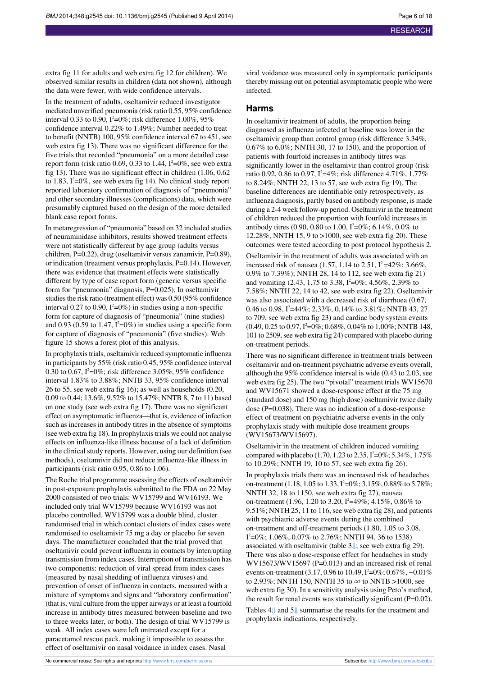extra fig 11 for adults and web extra fig 12 for children). We observed similar results in children (data not shown), although the data were fewer, with wide confidence intervals.

In the treatment of adults, oseltamivir reduced investigator mediated unverified pneumonia (risk ratio 0.55, 95% confidence interval 0.33 to 0.90,  $I^2$ =0%; risk difference 1.00%, 95% confidence interval 0.22% to 1.49%; Number needed to treat to benefit (NNTB) 100, 95% confidence interval 67 to 451, see web extra fig 13). There was no significant difference for the five trials that recorded "pneumonia" on a more detailed case report form (risk ratio 0.69, 0.33 to 1.44,  $I^2$ =0%, see web extra fig 13). There was no significant effect in children (1.06, 0.62 to 1.83,  $I^2=0\%$ , see web extra fig 14). No clinical study report reported laboratory confirmation of diagnosis of "pneumonia" and other secondary illnesses (complications) data, which were presumably captured based on the design of the more detailed blank case report forms.

In metaregression of "pneumonia" based on 32 included studies of neuraminidase inhibitors, results showed treatment effects were not statistically different by age group (adults versus children, P=0.22), drug (oseltamivir versus zanamivir, P=0.89), or indication (treatment versus prophylaxis, P=0.14). However, there was evidence that treatment effects were statistically different by type of case report form (generic versus specific form for "pneumonia" diagnosis, P=0.025). In oseltamivir studies the risk ratio (treatment effect) was 0.50 (95% confidence interval 0.27 to 0.90,  $I^2=0\%$ ) in studies using a non-specific form for capture of diagnosis of "pneumonia" (nine studies) and 0.93 (0.59 to 1.47,  $I^2=0\%$ ) in studies using a specific form for capture of diagnosis of "pneumonia" (five studies). Web figure 15 shows a forest plot of this analysis.

In prophylaxistrials, oseltamivir reduced symptomatic influenza in participants by 55% (risk ratio 0.45, 95% confidence interval 0.30 to 0.67,  $I^2 = 0\%$ ; risk difference 3.05%, 95% confidence interval 1.83% to 3.88%; NNTB 33, 95% confidence interval 26 to 55, see web extra fig 16); as well as households (0.20, 0.09 to 0.44; 13.6%, 9.52% to 15.47%; NNTB 8, 7 to 11) based on one study (see web extra fig 17). There was no significant effect on asymptomatic influenza—that is, evidence of infection such as increases in antibody titres in the absence of symptoms (see web extra fig 18). In prophylaxistrials we could not analyse effects on influenza-like illness because of a lack of definition in the clinical study reports. However, using our definition (see methods), oseltamivir did not reduce influenza-like illness in participants (risk ratio 0.95, 0.86 to 1.06).

The Roche trial programme assessing the effects of oseltamivir in post-exposure prophylaxis submitted to the FDA on 22 May 2000 consisted of two trials: WV15799 and WV16193. We included only trial WV15799 because WV16193 was not placebo controlled. WV15799 was a double blind, cluster randomised trial in which contact clusters of index cases were randomised to oseltamivir 75 mg a day or placebo for seven days. The manufacturer concluded that the trial proved that oseltamivir could prevent influenza in contacts by interrupting transmission from index cases. Interruption of transmission has two components: reduction of viral spread from index cases (measured by nasal shedding of influenza viruses) and prevention of onset of influenza in contacts, measured with a mixture of symptoms and signs and "laboratory confirmation" (that is, viral culture from the upper airways or at least a fourfold increase in antibody titres measured between baseline and two to three weeks later, or both). The design of trial WV15799 is weak. All index cases were left untreated except for a paracetamol rescue pack, making it impossible to assess the effect of oseltamivir on nasal voidance in index cases. Nasal

viral voidance was measured only in symptomatic participants thereby missing out on potential asymptomatic people who were infected.

#### **Harms**

In oseltamivir treatment of adults, the proportion being diagnosed as influenza infected at baseline was lower in the oseltamivir group than control group (risk difference 3.34%, 0.67% to 6.0%; NNTH 30, 17 to 150), and the proportion of patients with fourfold increases in antibody titres was significantly lower in the oseltamivir than control group (risk ratio 0.92, 0.86 to 0.97, I <sup>2</sup>=4%; risk difference 4.71%, 1.77% to 8.24%; NNTH 22, 13 to 57, see web extra fig 19). The baseline differences are identifiable only retrospectively, as influenza diagnosis, partly based on antibody response, is made during a 2-4 week follow-up period. Oseltamivir in the treatment of children reduced the proportion with fourfold increases in antibody titres (0.90, 0.80 to 1.00,  $I^2 = 0\%$ ; 6.14%, 0.0% to 12.28%; NNTH 15, 9 to >1000, see web extra fig 20). These outcomes were tested according to post protocol hypothesis 2. Oseltamivir in the treatment of adults was associated with an increased risk of nausea (1.57, 1.14 to 2.51,  $I^2 = 42\%$ ; 3.66%, 0.9% to 7.39%); NNTH 28, 14 to 112, see web extra fig 21) and vomiting (2.43, 1.75 to 3.38, I <sup>2</sup>=0%; 4.56%, 2.39% to 7.58%; NNTH 22, 14 to 42, see web extra fig 22). Oseltamivir was also associated with a decreased risk of diarrhoea (0.67, 0.46 to 0.98, I <sup>2</sup>=44%; 2.33%, 0.14% to 3.81%; NNTB 43, 27 to 709, see web extra fig 23) and cardiac body system events  $(0.49, 0.25 \text{ to } 0.97, I^2 = 0\%; 0.68\%, 0.04\% \text{ to } 1.00\%; \text{NNTB } 148,$ 101 to 2509, see web extra fig 24) compared with placebo during on-treatment periods.

There was no significant difference in treatment trials between oseltamivir and on-treatment psychiatric adverse events overall, although the 95% confidence interval is wide (0.43 to 2.03, see web extra fig 25). The two "pivotal" treatment trials WV15670 and WV15671 showed a dose-response effect at the 75 mg (standard dose) and 150 mg (high dose) oseltamivir twice daily dose (P=0.038). There was no indication of a dose-response effect of treatment on psychiatric adverse events in the only prophylaxis study with multiple dose treatment groups (WV15673/WV15697).

Oseltamivir in the treatment of children induced vomiting compared with placebo (1.70, 1.23 to 2.35, I <sup>2</sup>=0%; 5.34%, 1.75% to 10.29%; NNTH 19, 10 to 57, see web extra fig 26).

In prophylaxis trials there was an increased risk of headaches on-treatment (1.18, 1.05 to 1.33,  $I^2=0\%$ ; 3.15%, 0.88% to 5.78%; NNTH 32, 18 to 1150, see web extra fig 27), nausea on-treatment (1.96, 1.20 to 3.20, I <sup>2</sup>=49%; 4.15%, 0.86% to 9.51%; NNTH 25, 11 to 116, see web extra fig 28), and patients with psychiatric adverse events during the combined on-treatment and off-treatment periods (1.80, 1.05 to 3.08, I <sup>2</sup>=0%; 1.06%, 0.07% to 2.76%; NNTH 94, 36 to 1538) associated with oseltamivir (table  $3\downarrow$ ; see web extra fig 29). There was also a dose-response effect for headaches in study WV15673/WV15697 (P=0.013) and an increased risk of renal events on-treatment (3.17, 0.96 to 10.49,  $I^2 = 0\%$ ; 0.67%, -0.01% to 2.93%; NNTH 150, NNTH 35 to ∞ to NNTB >1000, see web extra fig 30). In a sensitivity analysis using Peto's method, the result for renal events was statistically significant (P=0.02).

Tables [4⇓](#page-14-0) and [5⇓](#page-15-0) summarise the results for the treatment and prophylaxis indications, respectively.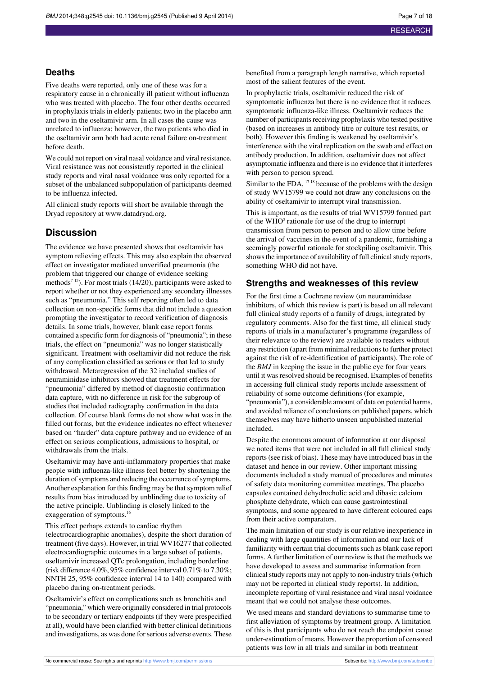#### **Deaths**

Five deaths were reported, only one of these was for a respiratory cause in a chronically ill patient without influenza who was treated with placebo. The four other deaths occurred in prophylaxis trials in elderly patients; two in the placebo arm and two in the oseltamivir arm. In all cases the cause was unrelated to influenza; however, the two patients who died in the oseltamivir arm both had acute renal failure on-treatment before death.

We could not report on viral nasal voidance and viral resistance. Viral resistance was not consistently reported in the clinical study reports and viral nasal voidance was only reported for a subset of the unbalanced subpopulation of participants deemed to be influenza infected.

All clinical study reports will short be available through the Dryad repository at [www.datadryad.org](http://www.datadryad.org/).

# **Discussion**

The evidence we have presented shows that oseltamivir has symptom relieving effects. This may also explain the observed effect on investigator mediated unverified pneumonia (the problem that triggered our change of evidence seeking methods<sup>7 15</sup>). For most trials (14/20), participants were asked to report whether or not they experienced any secondary illnesses such as "pneumonia." This self reporting often led to data collection on non-specific forms that did not include a question prompting the investigator to record verification of diagnosis details. In some trials, however, blank case report forms contained a specific form for diagnosis of "pneumonia"; in these trials, the effect on "pneumonia" was no longer statistically significant. Treatment with oseltamivir did not reduce the risk of any complication classified as serious or that led to study withdrawal. Metaregression of the 32 included studies of neuraminidase inhibitors showed that treatment effects for "pneumonia" differed by method of diagnostic confirmation data capture, with no difference in risk for the subgroup of studies that included radiography confirmation in the data collection. Of course blank forms do not show what was in the filled out forms, but the evidence indicates no effect whenever based on "harder" data capture pathway and no evidence of an effect on serious complications, admissions to hospital, or withdrawals from the trials.

Oseltamivir may have anti-inflammatory properties that make people with influenza-like illness feel better by shortening the duration of symptoms and reducing the occurrence of symptoms. Another explanation for this finding may be that symptom relief results from bias introduced by unblinding due to toxicity of the active principle. Unblinding is closely linked to the exaggeration of symptoms.<sup>16</sup>

This effect perhaps extends to cardiac rhythm

(electrocardiographic anomalies), despite the short duration of treatment (five days). However, in trial WV16277 that collected electrocardiographic outcomes in a large subset of patients, oseltamivir increased QTc prolongation, including borderline (risk difference 4.0%, 95% confidence interval 0.71% to 7.30%; NNTH 25, 95% confidence interval 14 to 140) compared with placebo during on-treatment periods.

Oseltamivir's effect on complications such as bronchitis and "pneumonia," which were originally considered in trial protocols to be secondary or tertiary endpoints (if they were prespecified at all), would have been clarified with better clinical definitions and investigations, as was done forserious adverse events. These

benefited from a paragraph length narrative, which reported most of the salient features of the event.

In prophylactic trials, oseltamivir reduced the risk of symptomatic influenza but there is no evidence that it reduces symptomatic influenza-like illness. Oseltamivir reduces the number of participants receiving prophylaxis who tested positive (based on increases in antibody titre or culture test results, or both). However this finding is weakened by oseltamivir's interference with the viral replication on the swab and effect on antibody production. In addition, oseltamivir does not affect asymptomatic influenza and there is no evidence that it interferes with person to person spread.

Similar to the FDA, <sup>17</sup><sup>18</sup> because of the problems with the design of study WV15799 we could not draw any conclusions on the ability of oseltamivir to interrupt viral transmission.

This is important, as the results of trial WV15799 formed part of the  $WHO<sup>3</sup>$  rationale for use of the drug to interrupt transmission from person to person and to allow time before the arrival of vaccines in the event of a pandemic, furnishing a seemingly powerful rationale for stockpiling oseltamivir. This shows the importance of availability of full clinical study reports, something WHO did not have.

#### **Strengths and weaknesses of this review**

For the first time a Cochrane review (on neuraminidase inhibitors, of which this review is part) is based on all relevant full clinical study reports of a family of drugs, integrated by regulatory comments. Also for the first time, all clinical study reports of trials in a manufacturer's programme (regardless of their relevance to the review) are available to readers without any restriction (apart from minimal redactions to further protect against the risk of re-identification of participants). The role of the *BMJ* in keeping the issue in the public eye for four years until it was resolved should be recognised. Examples of benefits in accessing full clinical study reports include assessment of reliability of some outcome definitions (for example, "pneumonia"), a considerable amount of data on potential harms, and avoided reliance of conclusions on published papers, which themselves may have hitherto unseen unpublished material included.

Despite the enormous amount of information at our disposal we noted items that were not included in all full clinical study reports (see risk of bias). These may have introduced bias in the dataset and hence in our review. Other important missing documents included a study manual of procedures and minutes of safety data monitoring committee meetings. The placebo capsules contained dehydrocholic acid and dibasic calcium phosphate dehydrate, which can cause gastrointestinal symptoms, and some appeared to have different coloured caps from their active comparators.

The main limitation of our study is our relative inexperience in dealing with large quantities of information and our lack of familiarity with certain trial documents such as blank case report forms. A further limitation of our review is that the methods we have developed to assess and summarise information from clinical study reports may not apply to non-industry trials (which may not be reported in clinical study reports). In addition, incomplete reporting of viral resistance and viral nasal voidance meant that we could not analyse these outcomes.

We used means and standard deviations to summarise time to first alleviation of symptoms by treatment group. A limitation of this is that participants who do not reach the endpoint cause under-estimation of means. However the proportion of censored patients was low in all trials and similar in both treatment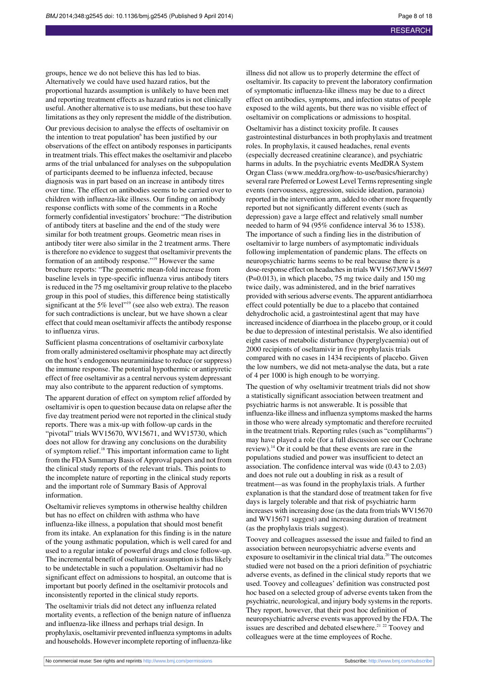groups, hence we do not believe this has led to bias. Alternatively we could have used hazard ratios, but the proportional hazards assumption is unlikely to have been met and reporting treatment effects as hazard ratios is not clinically useful. Another alternative is to use medians, but these too have limitations asthey only represent the middle of the distribution.

Our previous decision to analyse the effects of oseltamivir on the intention to treat population<sup>6</sup> has been justified by our observations of the effect on antibody responses in participants in treatment trials. This effect makes the oseltamivir and placebo arms of the trial unbalanced for analyses on the subpopulation of participants deemed to be influenza infected, because diagnosis was in part based on an increase in antibody titres over time. The effect on antibodies seems to be carried over to children with influenza-like illness. Our finding on antibody response conflicts with some of the comments in a Roche formerly confidential investigators' brochure: "The distribution of antibody titers at baseline and the end of the study were similar for both treatment groups. Geometric mean rises in antibody titer were also similar in the 2 treatment arms. There is therefore no evidence to suggest that oseltamivir prevents the formation of an antibody response."<sup>19</sup> However the same brochure reports: "The geometric mean-fold increase from baseline levels in type-specific influenza virus antibody titers is reduced in the 75 mg oseltamivir group relative to the placebo group in this pool of studies, this difference being statistically significant at the 5% level"<sup>19</sup> (see also web extra). The reason for such contradictions is unclear, but we have shown a clear effect that could mean oseltamivir affects the antibody response to influenza virus.

Sufficient plasma concentrations of oseltamivir carboxylate from orally administered oseltamivir phosphate may act directly on the host's endogenous neuraminidase to reduce (orsuppress) the immune response. The potential hypothermic or antipyretic effect of free oseltamivir as a central nervous system depressant may also contribute to the apparent reduction of symptoms.

The apparent duration of effect on symptom relief afforded by oseltamivir is open to question because data on relapse after the five day treatment period were not reported in the clinical study reports. There was a mix-up with follow-up cards in the "pivotal" trials WV15670, WV15671, and WV15730, which does not allow for drawing any conclusions on the durability of symptom relief.<sup>18</sup> This important information came to light from the FDA Summary Basis of Approval papers and not from the clinical study reports of the relevant trials. This points to the incomplete nature of reporting in the clinical study reports and the important role of Summary Basis of Approval information.

Oseltamivir relieves symptoms in otherwise healthy children but has no effect on children with asthma who have influenza-like illness, a population that should most benefit from its intake. An explanation for this finding is in the nature of the young asthmatic population, which is well cared for and used to a regular intake of powerful drugs and close follow-up. The incremental benefit of oseltamivir assumption is thus likely to be undetectable in such a population. Oseltamivir had no significant effect on admissions to hospital, an outcome that is important but poorly defined in the oseltamivir protocols and inconsistently reported in the clinical study reports.

The oseltamivir trials did not detect any influenza related mortality events, a reflection of the benign nature of influenza and influenza-like illness and perhaps trial design. In prophylaxis, oseltamivir prevented influenza symptoms in adults and households. However incomplete reporting of influenza-like

illness did not allow us to properly determine the effect of oseltamivir. Its capacity to prevent the laboratory confirmation of symptomatic influenza-like illness may be due to a direct effect on antibodies, symptoms, and infection status of people exposed to the wild agents, but there was no visible effect of oseltamivir on complications or admissions to hospital.

Oseltamivir has a distinct toxicity profile. It causes gastrointestinal disturbances in both prophylaxis and treatment roles. In prophylaxis, it caused headaches, renal events (especially decreased creatinine clearance), and psychiatric harms in adults. In the psychiatric events MedDRA System Organ Class ([www.meddra.org/how-to-use/basics/hierarchy](http://www.meddra.org/how-to-use/basics/hierarchy)) several rare Preferred or Lowest Level Terms representing single events (nervousness, aggression, suicide ideation, paranoia) reported in the intervention arm, added to other more frequently reported but not significantly different events (such as depression) gave a large effect and relatively small number needed to harm of 94 (95% confidence interval 36 to 1538). The importance of such a finding lies in the distribution of oseltamivir to large numbers of asymptomatic individuals following implementation of pandemic plans. The effects on neuropsychiatric harms seems to be real because there is a dose-response effect on headaches in trials WV15673/WV15697 (P=0.013), in which placebo, 75 mg twice daily and 150 mg twice daily, was administered, and in the brief narratives provided with serious adverse events. The apparent antidiarrhoea effect could potentially be due to a placebo that contained dehydrocholic acid, a gastrointestinal agent that may have increased incidence of diarrhoea in the placebo group, or it could be due to depression of intestinal peristalsis. We also identified eight cases of metabolic disturbance (hyperglycaemia) out of 2000 recipients of oseltamivir in five prophylaxis trials compared with no cases in 1434 recipients of placebo. Given the low numbers, we did not meta-analyse the data, but a rate of 4 per 1000 is high enough to be worrying.

The question of why oseltamivir treatment trials did not show a statistically significant association between treatment and psychiatric harms is not answerable. It is possible that influenza-like illness and influenza symptoms masked the harms in those who were already symptomatic and therefore recruited in the treatment trials. Reporting rules (such as "compliharms") may have played a role (for a full discussion see our Cochrane review).<sup>14</sup> Or it could be that these events are rare in the populations studied and power was insufficient to detect an association. The confidence interval was wide (0.43 to 2.03) and does not rule out a doubling in risk as a result of treatment—as was found in the prophylaxis trials. A further explanation is that the standard dose of treatment taken for five days is largely tolerable and that risk of psychiatric harm increases with increasing dose (asthe data from trials WV15670 and WV15671 suggest) and increasing duration of treatment (as the prophylaxis trials suggest).

Toovey and colleagues assessed the issue and failed to find an association between neuropsychiatric adverse events and exposure to oseltamivir in the clinical trial data.<sup>20</sup> The outcomes studied were not based on the a priori definition of psychiatric adverse events, as defined in the clinical study reports that we used. Toovey and colleagues' definition was constructed post hoc based on a selected group of adverse events taken from the psychiatric, neurological, and injury body systems in the reports. They report, however, that their post hoc definition of neuropsychiatric adverse events was approved by the FDA. The issues are described and debated elsewhere.<sup>21</sup> <sup>22</sup> Toovey and colleagues were at the time employees of Roche.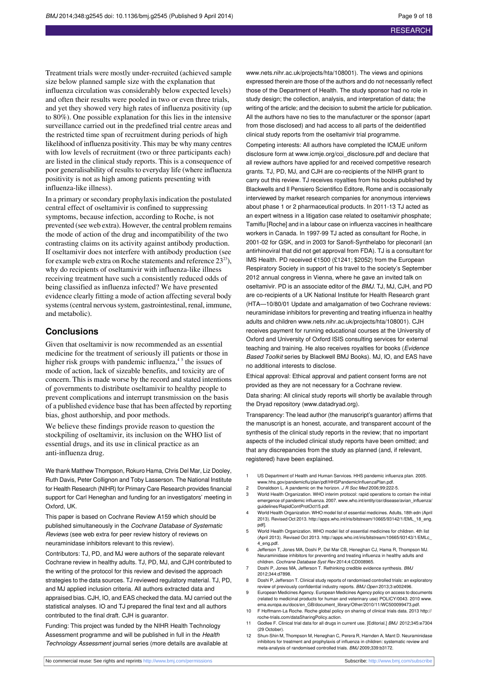Treatment trials were mostly under-recruited (achieved sample size below planned sample size with the explanation that influenza circulation was considerably below expected levels) and often their results were pooled in two or even three trials, and yet they showed very high rates of influenza positivity (up to 80%). One possible explanation for this lies in the intensive surveillance carried out in the predefined trial centre areas and the restricted time span of recruitment during periods of high likelihood of influenza positivity. This may be why many centres with low levels of recruitment (two or three participants each) are listed in the clinical study reports. This is a consequence of poor generalisability of results to everyday life (where influenza positivity is not as high among patients presenting with influenza-like illness).

In a primary orsecondary prophylaxisindication the postulated central effect of oseltamivir is confined to suppressing symptoms, because infection, according to Roche, is not prevented (see web extra). However, the central problem remains the mode of action of the drug and incompatibility of the two contrasting claims on its activity against antibody production. If oseltamivir does not interfere with antibody production (see for example web extra on Roche statements and reference  $23^{23}$ ), why do recipients of oseltamivir with influenza-like illness receiving treatment have such a consistently reduced odds of being classified as influenza infected? We have presented evidence clearly fitting a mode of action affecting several body systems (central nervous system, gastrointestinal, renal, immune, and metabolic).

## **Conclusions**

Given that oseltamivir is now recommended as an essential medicine for the treatment of seriously ill patients or those in higher risk groups with pandemic influenza,<sup>45</sup> the issues of mode of action, lack of sizeable benefits, and toxicity are of concern. This is made worse by the record and stated intentions of governments to distribute oseltamivir to healthy people to prevent complications and interrupt transmission on the basis of a published evidence base that has been affected by reporting bias, ghost authorship, and poor methods.

We believe these findings provide reason to question the stockpiling of oseltamivir, its inclusion on the WHO list of essential drugs, and its use in clinical practice as an anti-influenza drug.

We thank Matthew Thompson, Rokuro Hama, Chris Del Mar, Liz Dooley, Ruth Davis, Peter Collignon and Toby Lasserson. The National Institute for Health Research (NIHR) for Primary Care Research provides financial support for Carl Heneghan and funding for an investigators' meeting in Oxford, UK.

This paper is based on Cochrane Review A159 which should be published simultaneously in the Cochrane Database of Systematic Reviews (see web extra for peer review history of reviews on neuraminidase inhibitors relevant to this review).

Contributors: TJ, PD, and MJ were authors of the separate relevant Cochrane review in healthy adults. TJ, PD, MJ, and CJH contributed to the writing of the protocol for this review and devised the approach strategies to the data sources. TJ reviewed regulatory material. TJ, PD, and MJ applied inclusion criteria. All authors extracted data and appraised bias. CJH, IO, and EAS checked the data. MJ carried out the statistical analyses. IO and TJ prepared the final text and all authors contributed to the final draft. CJH is guarantor.

Funding: This project was funded by the NIHR Health Technology Assessment programme and will be published in full in the Health Technology Assessment journal series (more details are available at [www.nets.nihr.ac.uk/projects/hta/108001\)](http://www.nets.nihr.ac.uk/projects/hta/108001). The views and opinions expressed therein are those of the authors and do not necessarily reflect those of the Department of Health. The study sponsor had no role in study design; the collection, analysis, and interpretation of data; the writing of the article; and the decision to submit the article for publication. All the authors have no ties to the manufacturer or the sponsor (apart from those disclosed) and had access to all parts of the deidentified clinical study reports from the oseltamivir trial programme.

Competing interests: All authors have completed the ICMJE uniform disclosure form at [www.icmje.org/coi\\_disclosure.pdf](http://www.icmje.org/coi_disclosure.pdf) and declare that all review authors have applied for and received competitive research grants. TJ, PD, MJ, and CJH are co-recipients of the NIHR grant to carry out this review. TJ receives royalties from his books published by Blackwells and Il Pensiero Scientifico Editore, Rome and is occasionally interviewed by market research companies for anonymous interviews about phase 1 or 2 pharmaceutical products. In 2011-13 TJ acted as an expert witness in a litigation case related to oseltamivir phosphate; Tamiflu [Roche] and in a labour case on influenza vaccines in healthcare workers in Canada. In 1997-99 TJ acted as consultant for Roche, in 2001-02 for GSK, and in 2003 for Sanofi-Synthelabo for pleconaril (an antirhinoviral that did not get approval from FDA). TJ is a consultant for IMS Health. PD received €1500 (£1241; \$2052) from the European Respiratory Society in support of his travel to the society's September 2012 annual congress in Vienna, where he gave an invited talk on oseltamivir. PD is an associate editor of the BMJ. TJ, MJ, CJH, and PD are co-recipients of a UK National Institute for Health Research grant (HTA—10/80/01 Update and amalgamation of two Cochrane reviews: neuraminidase inhibitors for preventing and treating influenza in healthy adults and children [www.nets.nihr.ac.uk/projects/hta/108001\)](http://www.nets.nihr.ac.uk/projects/hta/108001). CJH receives payment for running educational courses at the University of Oxford and University of Oxford ISIS consulting services for external teaching and training. He also receives royalties for books (Evidence Based Toolkit series by Blackwell BMJ Books). MJ, IO, and EAS have no additional interests to disclose.

Ethical approval: Ethical approval and patient consent forms are not provided as they are not necessary for a Cochrane review.

Data sharing: All clinical study reports will shortly be available through the Dryad repository ([www.datadryad.org](http://www.datadryad.org/)).

Transparency: The lead author (the manuscript's guarantor) affirms that the manuscript is an honest, accurate, and transparent account of the synthesis of the clinical study reports in the review; that no important aspects of the included clinical study reports have been omitted; and that any discrepancies from the study as planned (and, if relevant, registered) have been explained.

- 1 US Department of Health and Human Services. HHS pandemic influenza plan. 2005. [www.hhs.gov/pandemicflu/plan/pdf/HHSPandemicInfluenzaPlan.pdf.](http://www.hhs.gov/pandemicflu/plan/pdf/HHSPandemicInfluenzaPlan.pdf)
- 2 Donaldson L. A pandemic on the horizon. J R Soc Med 2006;99:222-5.
- 3 World Health Organization. WHO interim protocol: rapid operations to contain the initial emergence of pandemic influenza. 2007. [www.who.int/entity/csr/disease/avian\\_influenza/](http://www.who.int/entity/csr/disease/avian_influenza/guidelines/RapidContProtOct15.pdf) [guidelines/RapidContProtOct15.pdf.](http://www.who.int/entity/csr/disease/avian_influenza/guidelines/RapidContProtOct15.pdf)
- 4 World Health Organization. WHO model list of essential medicines. Adults, 18th edn (April 2013). Revised Oct 2013. [http://apps.who.int/iris/bitstream/10665/93142/1/EML\\_18\\_eng.](http://apps.who.int/iris/bitstream/10665/93142/1/EML_18_eng.pdf) [pdf\]](http://apps.who.int/iris/bitstream/10665/93142/1/EML_18_eng.pdf).
- 5 World Health Organization. WHO model list of essential medicines for children. 4th list (April 2013). Revised Oct 2013. [http://apps.who.int/iris/bitstream/10665/93143/1/EMLc\\_](http://apps.who.int/iris/bitstream/10665/93143/1/EMLc_4_eng.pdf) [4\\_eng.pdf.](http://apps.who.int/iris/bitstream/10665/93143/1/EMLc_4_eng.pdf)
- 6 Jefferson T, Jones MA, Doshi P, Del Mar CB, Heneghan CJ, Hama R, Thompson MJ. Neuraminidase inhibitors for preventing and treating influenza in healthy adults and children. Cochrane Database Syst Rev 2014;4:CD008965.
- Doshi P, Jones MA, Jefferson T. Rethinking credible evidence synthesis. BMJ 2012;344:d7898.
- 8 Doshi P, Jefferson T. Clinical study reports of randomised controlled trials: an exploratory review of previously confidential industry reports. BMJ Open 2013;3:e002496.
- Process Processes, Communication Processes Agency. European Medicines Agency policy on access to documents. (related to medicinal products for human and veterinary use) POLICY/0043. 2010 [www.](http://www.ema.europa.eu/docs/en_GB/document_library/Other/2010/11/WC500099473.pdf) ma.europa.eu/docs/en\_GB/document\_library/Other/2010/11/WC500099473.pdf.
- 10 F Hoffmann-La Roche. Roche global policy on sharing of clinical trials data. 2013 [http://](http://roche-trials.com/dataSharingPolicy.action) [roche-trials.com/dataSharingPolicy.action](http://roche-trials.com/dataSharingPolicy.action).
- 11 Godlee F. Clinical trial data for all drugs in current use. [Editorial.] BMJ 2012;345:e7304 (29 October).
- 12 Shun-Shin M, Thompson M, Heneghan C, Perera R, Harnden A, Mant D. Neuraminidase inhibitors for treatment and prophylaxis of influenza in children: systematic review and meta-analysis of randomised controlled trials. BMJ 2009;339:b3172.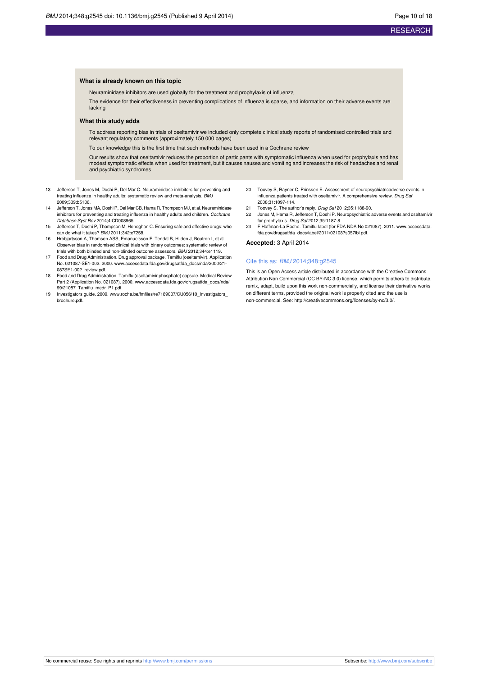#### **What is already known on this topic**

Neuraminidase inhibitors are used globally for the treatment and prophylaxis of influenza

The evidence for their effectiveness in preventing complications of influenza is sparse, and information on their adverse events are lacking

#### **What this study adds**

To address reporting bias in trials of oseltamivir we included only complete clinical study reports of randomised controlled trials and relevant regulatory comments (approximately 150 000 pages)

To our knowledge this is the first time that such methods have been used in a Cochrane review

Our results show that oseltamivir reduces the proportion of participants with symptomatic influenza when used for prophylaxis and has modest symptomatic effects when used for treatment, but it causes nausea and vomiting and increases the risk of headaches and renal and psychiatric syndromes

- 13 Jefferson T, Jones M, Doshi P, Del Mar C. Neuraminidase inhibitors for preventing and treating influenza in healthy adults: systematic review and meta-analysis. BMJ 2009;339:b5106.
- 14 Jefferson T, Jones MA, Doshi P, Del Mar CB, Hama R, Thompson MJ, et al. Neuraminidase inhibitors for preventing and treating influenza in healthy adults and children. Cochrane Database Syst Rev 2014;4:CD008965.
- 15 Jefferson T, Doshi P, Thompson M, Heneghan C. Ensuring safe and effective drugs: who can do what it takes? BMJ 2011;342:c7258.
- 16 Hróbjartsson A, Thomsen ASS, Emanuelsson F, Tendal B, Hilden J, Boutron I, et al. Observer bias in randomised clinical trials with binary outcomes: systematic review of trials with both blinded and non-blinded outcome assessors. BMJ 2012;344:e1119.
- 17 Food and Drug Administration. Drug approval package. Tamiflu (oseltamivir). Application No. 021087-SE1-002. 2000. [www.accessdata.fda.gov/drugsatfda\\_docs/nda/2000/21-](http://www.accessdata.fda.gov/drugsatfda_docs/nda/2000/21-087SE1-002_review.pdf) [087SE1-002\\_review.pdf.](http://www.accessdata.fda.gov/drugsatfda_docs/nda/2000/21-087SE1-002_review.pdf)
- 18 Food and Drug Administration. Tamiflu (oseltamivir phosphate) capsule. Medical Review Part 2 (Application No. 021087). 2000. [www.accessdata.fda.gov/drugsatfda\\_docs/nda/](http://www.accessdata.fda.gov/drugsatfda_docs/nda/99/21087_Tamiflu_medr_P1.pdf) [99/21087\\_Tamiflu\\_medr\\_P1.pdf](http://www.accessdata.fda.gov/drugsatfda_docs/nda/99/21087_Tamiflu_medr_P1.pdf).
- 19 Investigators guide. 2009. [www.roche.be/fmfiles/re7189007/CU056/10\\_Investigators\\_](http://www.roche.be/fmfiles/re7189007/CU056/10_Investigators_brochure.pdf) [brochure.pdf](http://www.roche.be/fmfiles/re7189007/CU056/10_Investigators_brochure.pdf).
- 20 Toovey S, Rayner C, Prinssen E. Assessment of neuropsychiatricadverse events in influenza patients treated with oseltamivir. A comprehensive review. Drug Saf 2008;31:1097-114.
- 
- 21 Toovey S. The author's reply. *Drug Saf* 2012;35:1188-90.<br>22 Jones M, Hama R, Jefferson T, Doshi P. Neuropsychiatric adverse events and oseltamivir for prophylaxis. Drug Saf 2012;35:1187-8.
- 23 F Hoffman-La Roche. Tamiflu label (for FDA NDA No 021087). 2011. [www.accessdata.](http://www.accessdata.fda.gov/drugsatfda_docs/label/2011/021087s057lbl.pdf) [fda.gov/drugsatfda\\_docs/label/2011/021087s057lbl.pdf.](http://www.accessdata.fda.gov/drugsatfda_docs/label/2011/021087s057lbl.pdf)

#### **Accepted:** 3 April 2014

#### Cite this as: BMJ 2014;348:g2545

This is an Open Access article distributed in accordance with the Creative Commons Attribution Non Commercial (CC BY-NC 3.0) license, which permits others to distribute, remix, adapt, build upon this work non-commercially, and license their derivative works on different terms, provided the original work is properly cited and the use is non-commercial. See: <http://creativecommons.org/licenses/by-nc/3.0/>.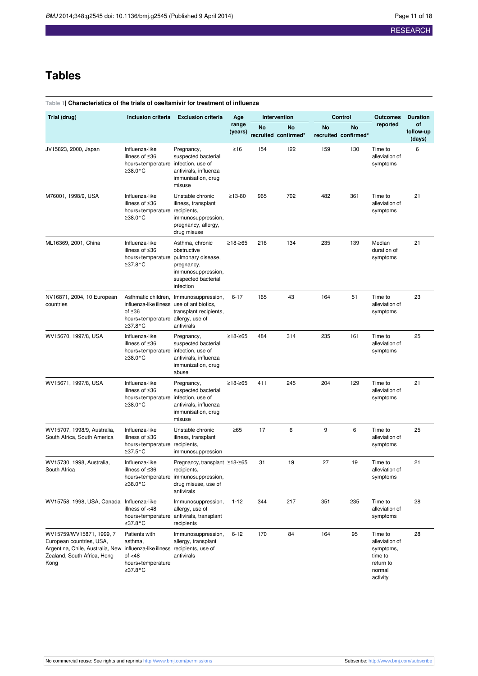# **Tables**

#### <span id="page-10-0"></span>**Table 1| Characteristics of the trials of oseltamivir for treatment of influenza**

| Trial (drug)                                                                                                                                                              | <b>Inclusion criteria</b>                                                                                     | <b>Exclusion criteria</b>                                                                                                    | Age              |           | Intervention               |     | Control                           | <b>Outcomes</b>                                                                      | <b>Duration</b>           |
|---------------------------------------------------------------------------------------------------------------------------------------------------------------------------|---------------------------------------------------------------------------------------------------------------|------------------------------------------------------------------------------------------------------------------------------|------------------|-----------|----------------------------|-----|-----------------------------------|--------------------------------------------------------------------------------------|---------------------------|
|                                                                                                                                                                           |                                                                                                               |                                                                                                                              | range<br>(years) | <b>No</b> | No<br>recruited confirmed* | No  | <b>No</b><br>recruited confirmed* | reported                                                                             | οf<br>follow-up<br>(days) |
| JV15823, 2000, Japan                                                                                                                                                      | Influenza-like<br>illness of ≤36<br>hours+temperature<br>≥38.0°C                                              | Pregnancy,<br>suspected bacterial<br>infection, use of<br>antivirals, influenza<br>immunisation, drug<br>misuse              | $\geq 16$        | 154       | 122                        | 159 | 130                               | Time to<br>alleviation of<br>symptoms                                                | 6                         |
| M76001, 1998/9, USA                                                                                                                                                       | Influenza-like<br>illness of ≤36<br>hours+temperature<br>≥38.0°C                                              | Unstable chronic<br>illness, transplant<br>recipients,<br>immunosuppression,<br>pregnancy, allergy,<br>drug misuse           | $\geq 13 - 80$   | 965       | 702                        | 482 | 361                               | Time to<br>alleviation of<br>symptoms                                                | 21                        |
| ML16369, 2001, China                                                                                                                                                      | Influenza-like<br>illness of ≤36<br>hours+temperature<br>≥37.8°C                                              | Asthma, chronic<br>obstructive<br>pulmonary disease,<br>pregnancy,<br>immunosuppression,<br>suspected bacterial<br>infection | ≥18-≥65          | 216       | 134                        | 235 | 139                               | Median<br>duration of<br>symptoms                                                    | 21                        |
| NV16871, 2004, 10 European<br>countries                                                                                                                                   | Asthmatic children,<br>influenza-like illness<br>of $\leq 36$<br>hours+temperature allergy, use of<br>≥37.8°C | Immunosuppression,<br>use of antibiotics,<br>transplant recipients,<br>antivirals                                            | $6 - 17$         | 165       | 43                         | 164 | 51                                | Time to<br>alleviation of<br>symptoms                                                | 23                        |
| WV15670, 1997/8, USA                                                                                                                                                      | Influenza-like<br>illness of ≤36<br>hours+temperature<br>≥38.0°C                                              | Pregnancy,<br>suspected bacterial<br>infection, use of<br>antivirals, influenza<br>immunization, drug<br>abuse               | ≥18-≥65          | 484       | 314                        | 235 | 161                               | Time to<br>alleviation of<br>symptoms                                                | 25                        |
| WV15671, 1997/8, USA                                                                                                                                                      | Influenza-like<br>illness of ≤36<br>hours+temperature<br>≥38.0°C                                              | Pregnancy,<br>suspected bacterial<br>infection, use of<br>antivirals, influenza<br>immunisation, drug<br>misuse              | ≥18-≥65          | 411       | 245                        | 204 | 129                               | Time to<br>alleviation of<br>symptoms                                                | 21                        |
| WV15707, 1998/9, Australia,<br>South Africa, South America                                                                                                                | Influenza-like<br>illness of $\leq$ 36<br>hours+temperature<br>≥37.5°C                                        | Unstable chronic<br>illness, transplant<br>recipients,<br>immunosuppression                                                  | $\geq 65$        | 17        | 6                          | 9   | 6                                 | Time to<br>alleviation of<br>symptoms                                                | 25                        |
| WV15730, 1998, Australia,<br>South Africa                                                                                                                                 | Influenza-like<br>illness of ≤36<br>≥38.0°C                                                                   | Pregnancy, transplant ≥18-≥65<br>recipients,<br>hours+temperature immunosuppression,<br>drug misuse, use of<br>antivirals    |                  | 31        | 19                         | 27  | 19                                | Time to<br>alleviation of<br>symptoms                                                | 21                        |
| WV15758, 1998, USA, Canada Influenza-like                                                                                                                                 | illness of <48<br>hours+temperature<br>≥37.8°C                                                                | Immunosuppression,<br>allergy, use of<br>antivirals, transplant<br>recipients                                                | $1 - 12$         | 344       | 217                        | 351 | 235                               | Time to<br>alleviation of<br>symptoms                                                | 28                        |
| WV15759/WV15871, 1999, 7<br>European countries, USA,<br>Argentina, Chile, Australia, New influenza-like illness recipients, use of<br>Zealand, South Africa, Hong<br>Kong | Patients with<br>asthma,<br>of $<$ 48<br>hours+temperature<br>≥37.8°C                                         | Immunosuppression,<br>allergy, transplant<br>antivirals                                                                      | $6 - 12$         | 170       | 84                         | 164 | 95                                | Time to<br>alleviation of<br>symptoms,<br>time to<br>return to<br>normal<br>activity | 28                        |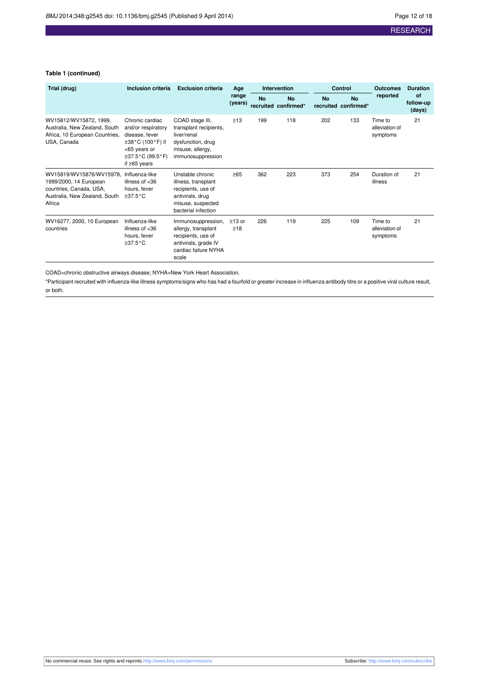#### **Table 1 (continued)**

| Trial (drug)                                                                                                             | Inclusion criteria                                                                                                                    | <b>Exclusion criteria</b>                                                                                                     | Age                       |           | <b>Intervention</b>               |                        | <b>Control</b>          | <b>Outcomes</b>                       | <b>Duration</b>                  |  |
|--------------------------------------------------------------------------------------------------------------------------|---------------------------------------------------------------------------------------------------------------------------------------|-------------------------------------------------------------------------------------------------------------------------------|---------------------------|-----------|-----------------------------------|------------------------|-------------------------|---------------------------------------|----------------------------------|--|
|                                                                                                                          |                                                                                                                                       |                                                                                                                               | range<br>(years)          | <b>No</b> | <b>No</b><br>recruited confirmed* | <b>No</b><br>recruited | <b>No</b><br>confirmed* | reported                              | <b>of</b><br>follow-up<br>(days) |  |
| WV15812/WV15872, 1999,<br>Australia, New Zealand, South<br>Africa, 10 European Countries,<br>USA, Canada                 | Chronic cardiac<br>and/or respiratory<br>disease, fever<br>≥38°C (100°F) if<br><65 years or<br>≥37.5°C (99.5°F)<br>if $\geq 65$ years | COAD stage III,<br>transplant recipients,<br>liver/renal<br>dysfunction, drug<br>misuse, allergy,<br>immunosuppression        | $\geq$ 13                 | 199       | 118                               | 202                    | 133                     | Time to<br>alleviation of<br>symptoms | 21                               |  |
| WV15819/WV15876/WV15978,<br>1999/2000, 14 European<br>countries, Canada, USA,<br>Australia, New Zealand, South<br>Africa | Influenza-like<br>illness of $<$ 36<br>hours, fever<br>≥37.5 °C                                                                       | Unstable chronic<br>illness, transplant<br>recipients, use of<br>antivirals, drug<br>misuse, suspected<br>bacterial infection | $\geq 65$                 | 362       | 223                               | 373                    | 254                     | Duration of<br>illness                | 21                               |  |
| WV16277, 2000, 10 European<br>countries                                                                                  | Influenza-like<br>illness of $<$ 36<br>hours, fever<br>≥37.5°C                                                                        | Immunosuppression,<br>allergy, transplant<br>recipients, use of<br>antivirals, grade IV<br>cardiac failure NYHA<br>scale      | $\geq$ 13 or<br>$\geq$ 18 | 226       | 119                               | 225                    | 109                     | Time to<br>alleviation of<br>symptoms | 21                               |  |

COAD=chronic obstructive airways disease; NYHA=New York Heart Association.

\*Participant recruited with influenza-like illness symptoms/signs who has had a fourfold or greater increase in influenza antibody titre or a positive viral culture result, or both.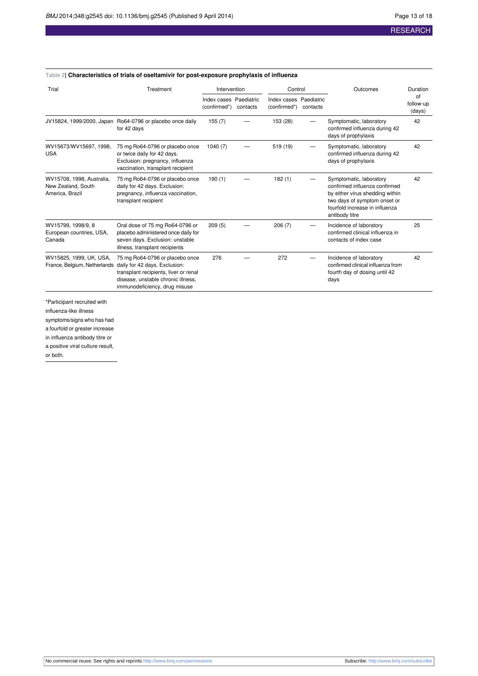| Trial                                                              | Treatment                                                                                                                                                                                                     | Intervention                           |          | Control                                |          | Outcomes                                                                                                                                                                        | Duration                  |
|--------------------------------------------------------------------|---------------------------------------------------------------------------------------------------------------------------------------------------------------------------------------------------------------|----------------------------------------|----------|----------------------------------------|----------|---------------------------------------------------------------------------------------------------------------------------------------------------------------------------------|---------------------------|
|                                                                    |                                                                                                                                                                                                               | Index cases Paediatric<br>(confirmed*) | contacts | Index cases Paediatric<br>(confirmed*) | contacts |                                                                                                                                                                                 | of<br>follow-up<br>(days) |
|                                                                    | JV15824, 1999/2000, Japan Ro64-0796 or placebo once daily<br>for 42 days                                                                                                                                      | 155(7)                                 |          | 153 (28)                               |          | Symptomatic, laboratory<br>confirmed influenza during 42<br>days of prophylaxis                                                                                                 | 42                        |
| WV15673/WV15697, 1998,<br><b>USA</b>                               | 75 mg Ro64-0796 or placebo once<br>or twice daily for 42 days.<br>Exclusion: pregnancy, influenza<br>vaccination, transplant recipient                                                                        | 1040(7)                                |          | 519 (19)                               |          | Symptomatic, laboratory<br>confirmed influenza during 42<br>days of prophylaxis                                                                                                 | 42                        |
| WV15708, 1998, Australia,<br>New Zealand, South<br>America, Brazil | 75 mg Ro64-0796 or placebo once<br>daily for 42 days. Exclusion:<br>pregnancy, influenza vaccination,<br>transplant recipient                                                                                 | 190(1)                                 |          | 182(1)                                 |          | Symptomatic, laboratory<br>confirmed influenza confirmed<br>by either virus shedding within<br>two days of symptom onset or<br>fourfold increase in influenza<br>antibody titre | 42                        |
| WV15799, 1998/9, 8<br>European countries, USA,<br>Canada           | Oral dose of 75 mg Ro64-0796 or<br>placebo administered once daily for<br>seven days. Exclusion: unstable<br>illness, transplant recipients                                                                   | 209(5)                                 |          | 206(7)                                 |          | Incidence of laboratory<br>confirmed clinical influenza in<br>contacts of index case                                                                                            | 25                        |
| WV15825, 1999, UK, USA,                                            | 75 mg Ro64-0796 or placebo once<br>France, Belgium, Netherlands daily for 42 days. Exclusion:<br>transplant recipients, liver or renal<br>disease, unstable chronic illness,<br>immunodeficiency, drug misuse | 276                                    |          | 272                                    |          | Incidence of laboratory<br>confirmed clinical influenza from<br>fourth day of dosing until 42<br>days                                                                           | 42                        |
| *Participant recruited with<br>influenza-like illness              |                                                                                                                                                                                                               |                                        |          |                                        |          |                                                                                                                                                                                 |                           |

# <span id="page-12-0"></span>**Table 2| Characteristics of trials of oseltamivir for post-exposure prophylaxis of influenza**

influenza-like illness symptoms/signs who has had a fourfold or greater increase in influenza antibody titre or

a positive viral culture result,

or both.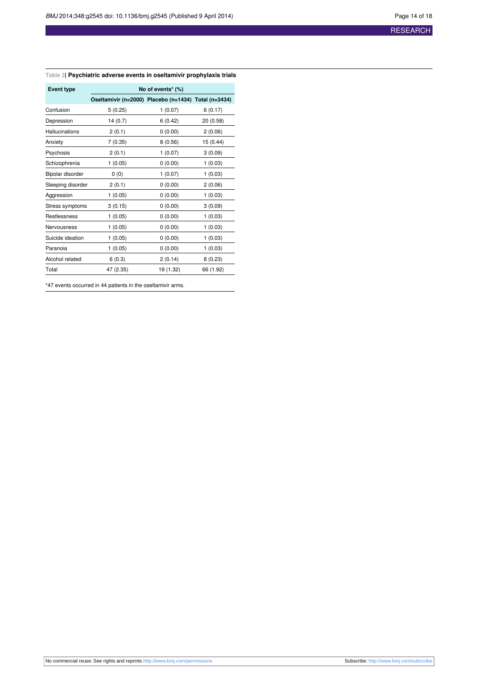# <span id="page-13-0"></span>**Table 3| Psychiatric adverse events in oseltamivir prophylaxis trials**

| <b>Event type</b> | No of events* $(\%)$                                 |           |           |  |  |  |  |  |  |
|-------------------|------------------------------------------------------|-----------|-----------|--|--|--|--|--|--|
|                   | Oseltamivir (n=2000) Placebo (n=1434) Total (n=3434) |           |           |  |  |  |  |  |  |
| Confusion         | 5(0.25)                                              | 1(0.07)   | 6(0.17)   |  |  |  |  |  |  |
| Depression        | 14 (0.7)                                             | 6(0.42)   | 20 (0.58) |  |  |  |  |  |  |
| Hallucinations    | 2(0.1)                                               | 0(0.00)   | 2(0.06)   |  |  |  |  |  |  |
| Anxiety           | 7(0.35)                                              | 8(0.56)   | 15 (0.44) |  |  |  |  |  |  |
| Psychosis         | 2(0.1)                                               | 1(0.07)   | 3(0.09)   |  |  |  |  |  |  |
| Schizophrenia     | 1(0.05)                                              | 0(0.00)   | 1(0.03)   |  |  |  |  |  |  |
| Bipolar disorder  | 0(0)                                                 | 1(0.07)   | 1(0.03)   |  |  |  |  |  |  |
| Sleeping disorder | 2(0.1)                                               | 0(0.00)   | 2(0.06)   |  |  |  |  |  |  |
| Aggression        | 1(0.05)                                              | 0(0.00)   | 1(0.03)   |  |  |  |  |  |  |
| Stress symptoms   | 3(0.15)                                              | 0(0.00)   | 3(0.09)   |  |  |  |  |  |  |
| Restlessness      | 1(0.05)                                              | 0(0.00)   | 1(0.03)   |  |  |  |  |  |  |
| Nervousness       | 1(0.05)                                              | 0(0.00)   | 1(0.03)   |  |  |  |  |  |  |
| Suicide ideation  | 1(0.05)                                              | 0(0.00)   | 1(0.03)   |  |  |  |  |  |  |
| Paranoia          | 1(0.05)                                              | 0(0.00)   | 1(0.03)   |  |  |  |  |  |  |
| Alcohol related   | 6(0.3)                                               | 2(0.14)   | 8(0.23)   |  |  |  |  |  |  |
| Total             | 47 (2.35)                                            | 19 (1.32) | 66 (1.92) |  |  |  |  |  |  |

\*47 events occurred in 44 patients in the oseltamivir arms.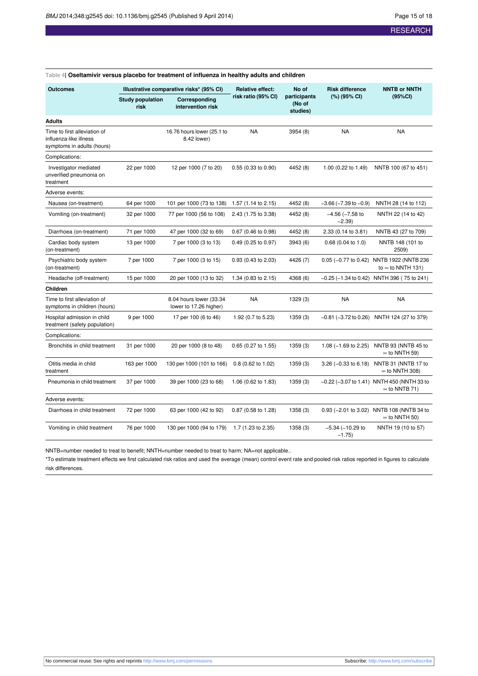# RESEARCH

| $\alpha$ and $\alpha$ $\beta$ obtaining versus placebo for treatment of imitualiza in nearing addits and children |                                 |                                                   |                         |                                    |                                   |                                                                      |  |  |  |  |  |
|-------------------------------------------------------------------------------------------------------------------|---------------------------------|---------------------------------------------------|-------------------------|------------------------------------|-----------------------------------|----------------------------------------------------------------------|--|--|--|--|--|
| <b>Outcomes</b>                                                                                                   |                                 | Illustrative comparative risks* (95% CI)          | <b>Relative effect:</b> | No of                              | <b>Risk difference</b>            | <b>NNTB or NNTH</b>                                                  |  |  |  |  |  |
|                                                                                                                   | <b>Study population</b><br>risk | Corresponding<br>intervention risk                | risk ratio (95% CI)     | participants<br>(No of<br>studies) | (%) (95% CI)                      | (95%CI)                                                              |  |  |  |  |  |
| <b>Adults</b>                                                                                                     |                                 |                                                   |                         |                                    |                                   |                                                                      |  |  |  |  |  |
| Time to first alleviation of<br>influenza-like illness<br>symptoms in adults (hours)                              |                                 | 16.76 hours lower (25.1 to<br>8.42 lower)         | NA                      | 3954 (8)                           | <b>NA</b>                         | <b>NA</b>                                                            |  |  |  |  |  |
| Complications:                                                                                                    |                                 |                                                   |                         |                                    |                                   |                                                                      |  |  |  |  |  |
| Investigator mediated<br>unverified pneumonia on<br>treatment                                                     | 22 per 1000                     | 12 per 1000 (7 to 20)                             | 0.55 (0.33 to 0.90)     | 4452 (8)                           | 1.00 (0.22 to 1.49)               | NNTB 100 (67 to 451)                                                 |  |  |  |  |  |
| Adverse events:                                                                                                   |                                 |                                                   |                         |                                    |                                   |                                                                      |  |  |  |  |  |
| Nausea (on-treatment)                                                                                             | 64 per 1000                     | 101 per 1000 (73 to 138)                          | 1.57 (1.14 to 2.15)     | 4452 (8)                           | $-3.66$ ( $-7.39$ to $-0.9$ )     | NNTH 28 (14 to 112)                                                  |  |  |  |  |  |
| Vomiting (on-treatment)                                                                                           | 32 per 1000                     | 77 per 1000 (56 to 108)                           | 2.43 (1.75 to 3.38)     | 4452 (8)                           | $-4.56$ ( $-7.58$ to<br>$-2.39$ ) | NNTH 22 (14 to 42)                                                   |  |  |  |  |  |
| Diarrhoea (on-treatment)                                                                                          | 71 per 1000                     | 47 per 1000 (32 to 69)                            | 0.67 (0.46 to 0.98)     | 4452 (8)                           | 2.33 (0.14 to 3.81)               | NNTB 43 (27 to 709)                                                  |  |  |  |  |  |
| Cardiac body system<br>(on-treatment)                                                                             | 13 per 1000                     | 7 per 1000 (3 to 13)                              | 0.49 (0.25 to 0.97)     | 3943 (6)                           | $0.68$ (0.04 to 1.0)              | NNTB 148 (101 to<br>2509)                                            |  |  |  |  |  |
| Psychiatric body system<br>(on-treatment)                                                                         | 7 per 1000                      | 7 per 1000 (3 to 15)                              | $0.93$ (0.43 to 2.03)   | 4426 (7)                           |                                   | 0.05 (-0.77 to 0.42) NNTB 1922 (NNTB 236<br>to $\infty$ to NNTH 131) |  |  |  |  |  |
| Headache (off-treatment)                                                                                          | 15 per 1000                     | 20 per 1000 (13 to 32)                            | 1.34 (0.83 to 2.15)     | 4368 (6)                           |                                   | $-0.25$ ( $-1.34$ to 0.42) NNTH 396 (75 to 241)                      |  |  |  |  |  |
| Children                                                                                                          |                                 |                                                   |                         |                                    |                                   |                                                                      |  |  |  |  |  |
| Time to first alleviation of<br>symptoms in children (hours)                                                      |                                 | 8.04 hours lower (33.34<br>lower to 17.26 higher) | NA                      | 1329 (3)                           | <b>NA</b>                         | NA                                                                   |  |  |  |  |  |
| Hospital admission in child<br>treatment (safety population)                                                      | 9 per 1000                      | 17 per 100 (6 to 46)                              | 1.92 (0.7 to 5.23)      | 1359 (3)                           |                                   | $-0.81$ ( $-3.72$ to 0.26) NNTH 124 (27 to 379)                      |  |  |  |  |  |
| Complications:                                                                                                    |                                 |                                                   |                         |                                    |                                   |                                                                      |  |  |  |  |  |
| Bronchitis in child treatment                                                                                     | 31 per 1000                     | 20 per 1000 (8 to 48)                             | 0.65 (0.27 to 1.55)     | 1359 (3)                           |                                   | 1.08 (-1.69 to 2.25) NNTB 93 (NNTB 45 to<br>$\infty$ to NNTH 59)     |  |  |  |  |  |
| Otitis media in child<br>treatment                                                                                | 163 per 1000                    | 130 per 1000 (101 to 166)                         | 0.8 (0.62 to 1.02)      | 1359 (3)                           |                                   | 3.26 (-0.33 to 6.18) NNTB 31 (NNTB 17 to<br>$\infty$ to NNTH 308)    |  |  |  |  |  |
| Pneumonia in child treatment                                                                                      | 37 per 1000                     | 39 per 1000 (23 to 68)                            | 1.06 (0.62 to 1.83)     | 1359 (3)                           |                                   | -0.22 (-3.07 to 1.41) NNTH 450 (NNTH 33 to<br>$\infty$ to NNTB 71)   |  |  |  |  |  |
| Adverse events:                                                                                                   |                                 |                                                   |                         |                                    |                                   |                                                                      |  |  |  |  |  |
| Diarrhoea in child treatment                                                                                      | 72 per 1000                     | 63 per 1000 (42 to 92)                            | 0.87 (0.58 to 1.28)     | 1358(3)                            |                                   | 0.93 (-2.01 to 3.02) NNTB 108 (NNTB 34 to<br>$\infty$ to NNTH 50)    |  |  |  |  |  |
| Vomiting in child treatment                                                                                       | 76 per 1000                     | 130 per 1000 (94 to 179) 1.7 (1.23 to 2.35)       |                         | 1358 (3)                           | $-5.34$ ( $-10.29$ to<br>$-1.75$  | NNTH 19 (10 to 57)                                                   |  |  |  |  |  |

### <span id="page-14-0"></span>**Table 4| Oseltamivir versus placebo for treatment of influenza in healthy adults and children**

NNTB=number needed to treat to benefit; NNTH=number needed to treat to harm; NA=not applicable..

\*To estimate treatment effects we first calculated risk ratios and used the average (mean) control event rate and pooled risk ratios reported in figures to calculate risk differences.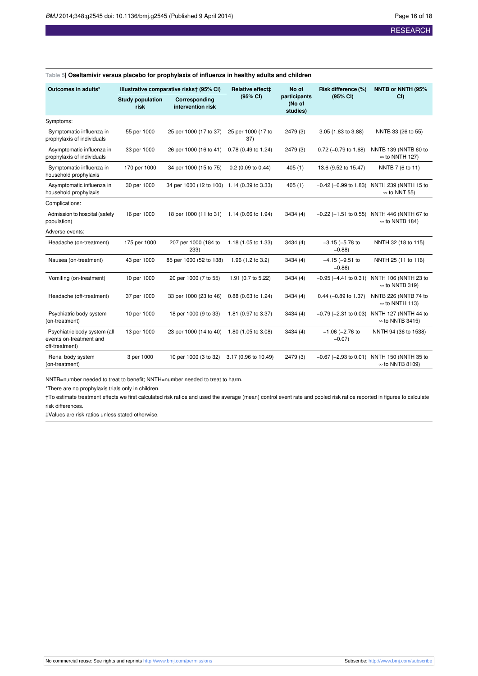# **RESEARCH**

| Outcomes in adults*                                                       |                                 | Illustrative comparative risks† (95% CI)    | Relative effect‡          | No of                              | Risk difference (%)               | NNTB or NNTH (95%                                                         |  |
|---------------------------------------------------------------------------|---------------------------------|---------------------------------------------|---------------------------|------------------------------------|-----------------------------------|---------------------------------------------------------------------------|--|
|                                                                           | <b>Study population</b><br>risk | Corresponding<br>intervention risk          | (95% CI)                  | participants<br>(No of<br>studies) | (95% CI)                          | CI                                                                        |  |
| Symptoms:                                                                 |                                 |                                             |                           |                                    |                                   |                                                                           |  |
| Symptomatic influenza in<br>prophylaxis of individuals                    | 55 per 1000                     | 25 per 1000 (17 to 37)                      | 25 per 1000 (17 to<br>37) | 2479 (3)                           | 3.05 (1.83 to 3.88)               | NNTB 33 (26 to 55)                                                        |  |
| Asymptomatic influenza in<br>prophylaxis of individuals                   | 33 per 1000                     | 26 per 1000 (16 to 41)                      | 0.78 (0.49 to 1.24)       | 2479 (3)                           | $0.72$ (-0.79 to 1.68)            | NNTB 139 (NNTB 60 to<br>$\infty$ to NNTH 127)                             |  |
| Symptomatic influenza in<br>household prophylaxis                         | 170 per 1000                    | 34 per 1000 (15 to 75)                      | $0.2$ (0.09 to 0.44)      | 405(1)                             | 13.6 (9.52 to 15.47)              | NNTB 7 (6 to 11)                                                          |  |
| Asymptomatic influenza in<br>household prophylaxis                        | 30 per 1000                     | 34 per 1000 (12 to 100) 1.14 (0.39 to 3.33) |                           | 405(1)                             |                                   | $-0.42$ ( $-6.99$ to 1.83) NNTH 239 (NNTH 15 to<br>$\infty$ to NNT 55)    |  |
| Complications:                                                            |                                 |                                             |                           |                                    |                                   |                                                                           |  |
| Admission to hospital (safety<br>population)                              | 16 per 1000                     | 18 per 1000 (11 to 31)                      | 1.14 (0.66 to 1.94)       | 3434(4)                            | $-0.22$ ( $-1.51$ to 0.55)        | NNTH 446 (NNTH 67 to<br>$\infty$ to NNTB 184)                             |  |
| Adverse events:                                                           |                                 |                                             |                           |                                    |                                   |                                                                           |  |
| Headache (on-treatment)                                                   | 175 per 1000                    | 207 per 1000 (184 to<br>233)                | 1.18 (1.05 to 1.33)       | 3434 (4)                           | $-3.15$ ( $-5.78$ to<br>$-0.88$   | NNTH 32 (18 to 115)                                                       |  |
| Nausea (on-treatment)                                                     | 43 per 1000                     | 85 per 1000 (52 to 138)                     | 1.96 (1.2 to 3.2)         | 3434(4)                            | $-4.15$ ( $-9.51$ to<br>$-0.86$   | NNTH 25 (11 to 116)                                                       |  |
| Vomiting (on-treatment)                                                   | 10 per 1000                     | 20 per 1000 (7 to 55)                       | 1.91 (0.7 to 5.22)        | 3434 (4)                           | $-0.95$ ( $-4.41$ to 0.31)        | NNTH 106 (NNTH 23 to<br>$\infty$ to NNTB 319)                             |  |
| Headache (off-treatment)                                                  | 37 per 1000                     | 33 per 1000 (23 to 46)                      | 0.88 (0.63 to 1.24)       | 3434(4)                            | $0.44$ (-0.89 to 1.37)            | NNTB 226 (NNTB 74 to<br>$\infty$ to NNTH 113)                             |  |
| Psychiatric body system<br>(on-treatment)                                 | 10 per 1000                     | 18 per 1000 (9 to 33)                       | 1.81 (0.97 to 3.37)       | 3434(4)                            | $-0.79$ ( $-2.31$ to 0.03)        | NNTH 127 (NNTH 44 to<br>$\approx$ to NNTB 3415)                           |  |
| Psychiatric body system (all<br>events on-treatment and<br>off-treatment) | 13 per 1000                     | 23 per 1000 (14 to 40)                      | 1.80 (1.05 to 3.08)       | 3434(4)                            | $-1.06$ ( $-2.76$ to<br>$-0.07$ ) | NNTH 94 (36 to 1538)                                                      |  |
| Renal body system<br>(on-treatment)                                       | 3 per 1000                      | 10 per 1000 (3 to 32)                       | 3.17 (0.96 to 10.49)      | 2479 (3)                           |                                   | $-0.67$ ( $-2.93$ to 0.01) NNTH 150 (NNTH 35 to<br>$\infty$ to NNTB 8109) |  |

<span id="page-15-0"></span>**Table 5| Oseltamivir versus placebo for prophylaxis of influenza in healthy adults and children**

NNTB=number needed to treat to benefit; NNTH=number needed to treat to harm.

\*There are no prophylaxis trials only in children.

†To estimate treatment effects we first calculated risk ratios and used the average (mean) control event rate and pooled risk ratios reported in figures to calculate risk differences.

‡Values are risk ratios unless stated otherwise.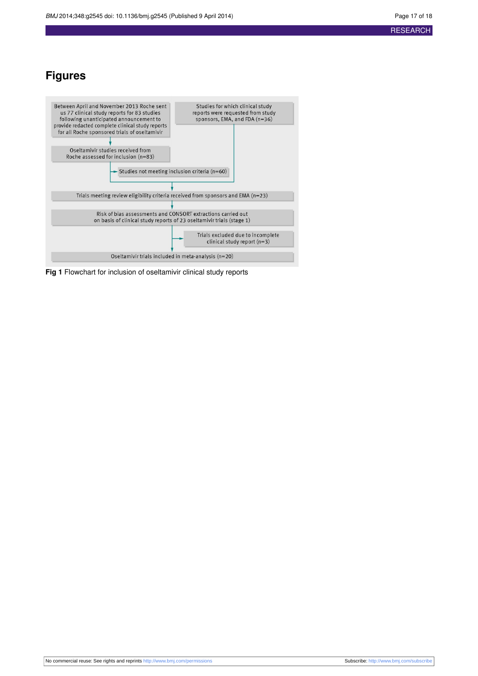# **Figures**

<span id="page-16-0"></span>

**Fig 1** Flowchart for inclusion of oseltamivir clinical study reports